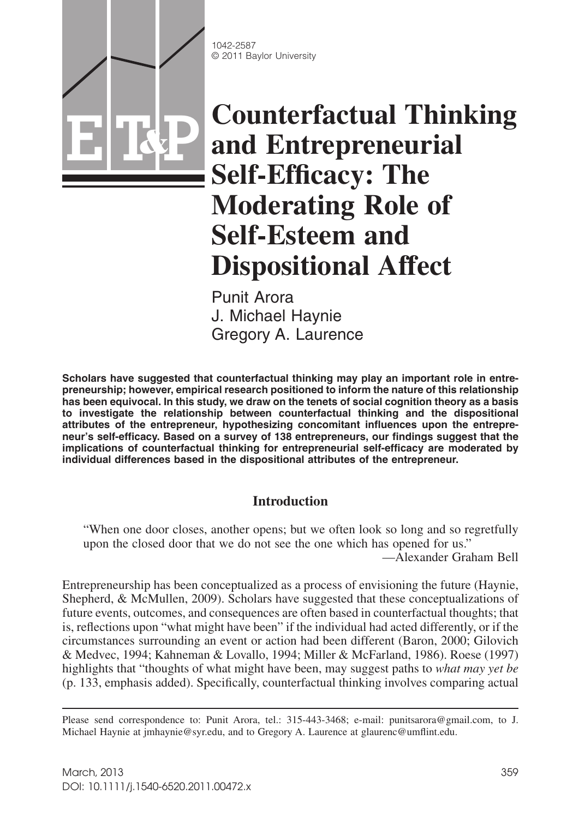

1042-2587 © 2011 Baylor University

# **Counterfactual Thinking and Entrepreneurial Self-Efficacy: The Moderating Role of Self-Esteem and Dispositional Affect**

Punit Arora J. Michael Haynie Gregory A. Laurence

**Scholars have suggested that counterfactual thinking may play an important role in entrepreneurship; however, empirical research positioned to inform the nature of this relationship has been equivocal. In this study, we draw on the tenets of social cognition theory as a basis to investigate the relationship between counterfactual thinking and the dispositional attributes of the entrepreneur, hypothesizing concomitant influences upon the entrepreneur's self-efficacy. Based on a survey of 138 entrepreneurs, our findings suggest that the implications of counterfactual thinking for entrepreneurial self-efficacy are moderated by individual differences based in the dispositional attributes of the entrepreneur.**

# **Introduction**

"When one door closes, another opens; but we often look so long and so regretfully upon the closed door that we do not see the one which has opened for us." —Alexander Graham Bell

Entrepreneurship has been conceptualized as a process of envisioning the future (Haynie, Shepherd, & McMullen, 2009). Scholars have suggested that these conceptualizations of future events, outcomes, and consequences are often based in counterfactual thoughts; that is, reflections upon "what might have been" if the individual had acted differently, or if the circumstances surrounding an event or action had been different (Baron, 2000; Gilovich & Medvec, 1994; Kahneman & Lovallo, 1994; Miller & McFarland, 1986). Roese (1997) highlights that "thoughts of what might have been, may suggest paths to *what may yet be* (p. 133, emphasis added). Specifically, counterfactual thinking involves comparing actual

Please send correspondence to: Punit Arora, tel.: 315-443-3468; e-mail: punitsarora@gmail.com, to J. Michael Haynie at jmhaynie@syr.edu, and to Gregory A. Laurence at glaurenc@umflint.edu.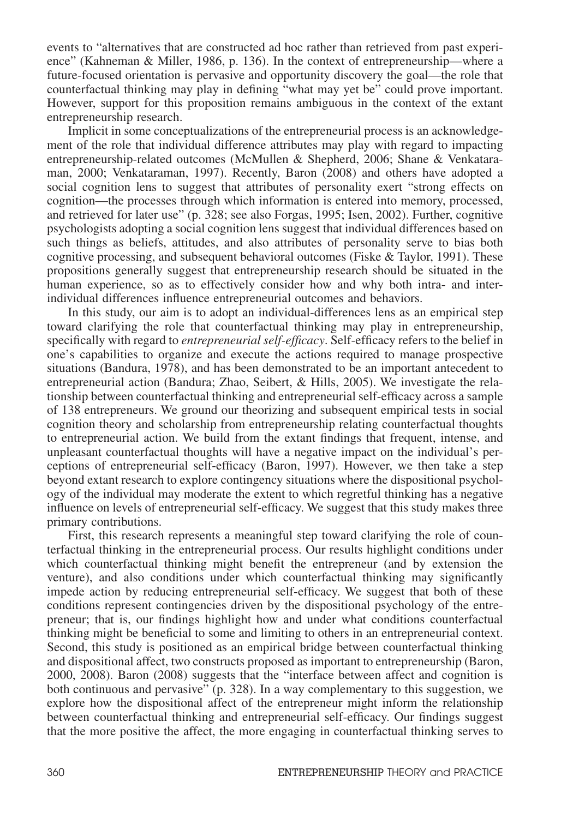events to "alternatives that are constructed ad hoc rather than retrieved from past experience" (Kahneman & Miller, 1986, p. 136). In the context of entrepreneurship—where a future-focused orientation is pervasive and opportunity discovery the goal—the role that counterfactual thinking may play in defining "what may yet be" could prove important. However, support for this proposition remains ambiguous in the context of the extant entrepreneurship research.

Implicit in some conceptualizations of the entrepreneurial process is an acknowledgement of the role that individual difference attributes may play with regard to impacting entrepreneurship-related outcomes (McMullen & Shepherd, 2006; Shane & Venkataraman, 2000; Venkataraman, 1997). Recently, Baron (2008) and others have adopted a social cognition lens to suggest that attributes of personality exert "strong effects on cognition—the processes through which information is entered into memory, processed, and retrieved for later use" (p. 328; see also Forgas, 1995; Isen, 2002). Further, cognitive psychologists adopting a social cognition lens suggest that individual differences based on such things as beliefs, attitudes, and also attributes of personality serve to bias both cognitive processing, and subsequent behavioral outcomes (Fiske  $&$  Taylor, 1991). These propositions generally suggest that entrepreneurship research should be situated in the human experience, so as to effectively consider how and why both intra- and interindividual differences influence entrepreneurial outcomes and behaviors.

In this study, our aim is to adopt an individual-differences lens as an empirical step toward clarifying the role that counterfactual thinking may play in entrepreneurship, specifically with regard to *entrepreneurial self-efficacy*. Self-efficacy refers to the belief in one's capabilities to organize and execute the actions required to manage prospective situations (Bandura, 1978), and has been demonstrated to be an important antecedent to entrepreneurial action (Bandura; Zhao, Seibert, & Hills, 2005). We investigate the relationship between counterfactual thinking and entrepreneurial self-efficacy across a sample of 138 entrepreneurs. We ground our theorizing and subsequent empirical tests in social cognition theory and scholarship from entrepreneurship relating counterfactual thoughts to entrepreneurial action. We build from the extant findings that frequent, intense, and unpleasant counterfactual thoughts will have a negative impact on the individual's perceptions of entrepreneurial self-efficacy (Baron, 1997). However, we then take a step beyond extant research to explore contingency situations where the dispositional psychology of the individual may moderate the extent to which regretful thinking has a negative influence on levels of entrepreneurial self-efficacy. We suggest that this study makes three primary contributions.

First, this research represents a meaningful step toward clarifying the role of counterfactual thinking in the entrepreneurial process. Our results highlight conditions under which counterfactual thinking might benefit the entrepreneur (and by extension the venture), and also conditions under which counterfactual thinking may significantly impede action by reducing entrepreneurial self-efficacy. We suggest that both of these conditions represent contingencies driven by the dispositional psychology of the entrepreneur; that is, our findings highlight how and under what conditions counterfactual thinking might be beneficial to some and limiting to others in an entrepreneurial context. Second, this study is positioned as an empirical bridge between counterfactual thinking and dispositional affect, two constructs proposed as important to entrepreneurship (Baron, 2000, 2008). Baron (2008) suggests that the "interface between affect and cognition is both continuous and pervasive" (p. 328). In a way complementary to this suggestion, we explore how the dispositional affect of the entrepreneur might inform the relationship between counterfactual thinking and entrepreneurial self-efficacy. Our findings suggest that the more positive the affect, the more engaging in counterfactual thinking serves to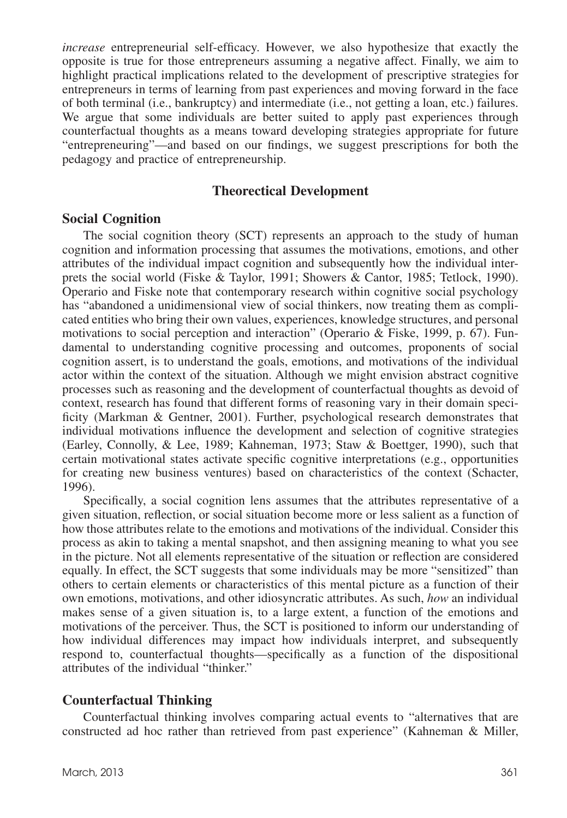*increase* entrepreneurial self-efficacy. However, we also hypothesize that exactly the opposite is true for those entrepreneurs assuming a negative affect. Finally, we aim to highlight practical implications related to the development of prescriptive strategies for entrepreneurs in terms of learning from past experiences and moving forward in the face of both terminal (i.e., bankruptcy) and intermediate (i.e., not getting a loan, etc.) failures. We argue that some individuals are better suited to apply past experiences through counterfactual thoughts as a means toward developing strategies appropriate for future "entrepreneuring"—and based on our findings, we suggest prescriptions for both the pedagogy and practice of entrepreneurship.

#### **Theorectical Development**

#### **Social Cognition**

The social cognition theory (SCT) represents an approach to the study of human cognition and information processing that assumes the motivations, emotions, and other attributes of the individual impact cognition and subsequently how the individual interprets the social world (Fiske & Taylor, 1991; Showers & Cantor, 1985; Tetlock, 1990). Operario and Fiske note that contemporary research within cognitive social psychology has "abandoned a unidimensional view of social thinkers, now treating them as complicated entities who bring their own values, experiences, knowledge structures, and personal motivations to social perception and interaction" (Operario & Fiske, 1999, p. 67). Fundamental to understanding cognitive processing and outcomes, proponents of social cognition assert, is to understand the goals, emotions, and motivations of the individual actor within the context of the situation. Although we might envision abstract cognitive processes such as reasoning and the development of counterfactual thoughts as devoid of context, research has found that different forms of reasoning vary in their domain specificity (Markman & Gentner, 2001). Further, psychological research demonstrates that individual motivations influence the development and selection of cognitive strategies (Earley, Connolly, & Lee, 1989; Kahneman, 1973; Staw & Boettger, 1990), such that certain motivational states activate specific cognitive interpretations (e.g., opportunities for creating new business ventures) based on characteristics of the context (Schacter, 1996).

Specifically, a social cognition lens assumes that the attributes representative of a given situation, reflection, or social situation become more or less salient as a function of how those attributes relate to the emotions and motivations of the individual. Consider this process as akin to taking a mental snapshot, and then assigning meaning to what you see in the picture. Not all elements representative of the situation or reflection are considered equally. In effect, the SCT suggests that some individuals may be more "sensitized" than others to certain elements or characteristics of this mental picture as a function of their own emotions, motivations, and other idiosyncratic attributes. As such, *how* an individual makes sense of a given situation is, to a large extent, a function of the emotions and motivations of the perceiver. Thus, the SCT is positioned to inform our understanding of how individual differences may impact how individuals interpret, and subsequently respond to, counterfactual thoughts—specifically as a function of the dispositional attributes of the individual "thinker."

#### **Counterfactual Thinking**

Counterfactual thinking involves comparing actual events to "alternatives that are constructed ad hoc rather than retrieved from past experience" (Kahneman & Miller,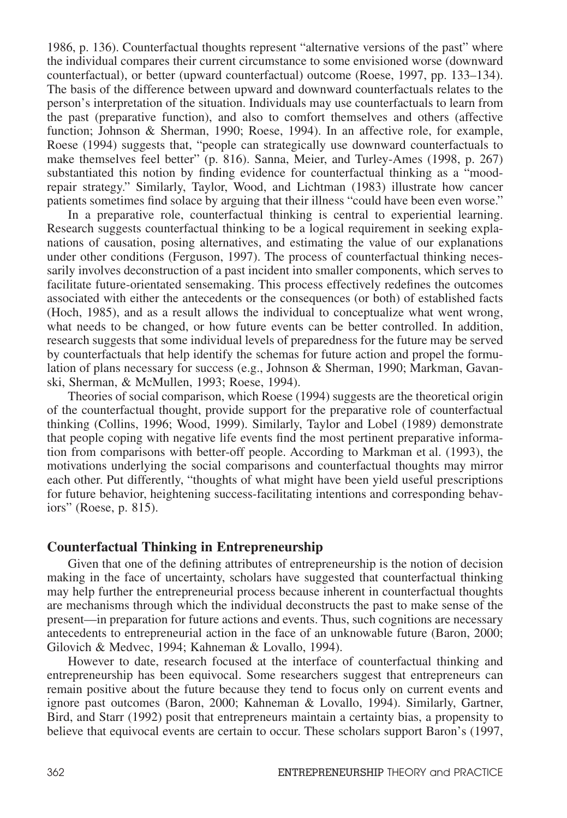1986, p. 136). Counterfactual thoughts represent "alternative versions of the past" where the individual compares their current circumstance to some envisioned worse (downward counterfactual), or better (upward counterfactual) outcome (Roese, 1997, pp. 133–134). The basis of the difference between upward and downward counterfactuals relates to the person's interpretation of the situation. Individuals may use counterfactuals to learn from the past (preparative function), and also to comfort themselves and others (affective function; Johnson & Sherman, 1990; Roese, 1994). In an affective role, for example, Roese (1994) suggests that, "people can strategically use downward counterfactuals to make themselves feel better" (p. 816). Sanna, Meier, and Turley-Ames (1998, p. 267) substantiated this notion by finding evidence for counterfactual thinking as a "moodrepair strategy." Similarly, Taylor, Wood, and Lichtman (1983) illustrate how cancer patients sometimes find solace by arguing that their illness "could have been even worse."

In a preparative role, counterfactual thinking is central to experiential learning. Research suggests counterfactual thinking to be a logical requirement in seeking explanations of causation, posing alternatives, and estimating the value of our explanations under other conditions (Ferguson, 1997). The process of counterfactual thinking necessarily involves deconstruction of a past incident into smaller components, which serves to facilitate future-orientated sensemaking. This process effectively redefines the outcomes associated with either the antecedents or the consequences (or both) of established facts (Hoch, 1985), and as a result allows the individual to conceptualize what went wrong, what needs to be changed, or how future events can be better controlled. In addition, research suggests that some individual levels of preparedness for the future may be served by counterfactuals that help identify the schemas for future action and propel the formulation of plans necessary for success (e.g., Johnson & Sherman, 1990; Markman, Gavanski, Sherman, & McMullen, 1993; Roese, 1994).

Theories of social comparison, which Roese (1994) suggests are the theoretical origin of the counterfactual thought, provide support for the preparative role of counterfactual thinking (Collins, 1996; Wood, 1999). Similarly, Taylor and Lobel (1989) demonstrate that people coping with negative life events find the most pertinent preparative information from comparisons with better-off people. According to Markman et al. (1993), the motivations underlying the social comparisons and counterfactual thoughts may mirror each other. Put differently, "thoughts of what might have been yield useful prescriptions for future behavior, heightening success-facilitating intentions and corresponding behaviors" (Roese, p. 815).

#### **Counterfactual Thinking in Entrepreneurship**

Given that one of the defining attributes of entrepreneurship is the notion of decision making in the face of uncertainty, scholars have suggested that counterfactual thinking may help further the entrepreneurial process because inherent in counterfactual thoughts are mechanisms through which the individual deconstructs the past to make sense of the present—in preparation for future actions and events. Thus, such cognitions are necessary antecedents to entrepreneurial action in the face of an unknowable future (Baron, 2000; Gilovich & Medvec, 1994; Kahneman & Lovallo, 1994).

However to date, research focused at the interface of counterfactual thinking and entrepreneurship has been equivocal. Some researchers suggest that entrepreneurs can remain positive about the future because they tend to focus only on current events and ignore past outcomes (Baron, 2000; Kahneman & Lovallo, 1994). Similarly, Gartner, Bird, and Starr (1992) posit that entrepreneurs maintain a certainty bias, a propensity to believe that equivocal events are certain to occur. These scholars support Baron's (1997,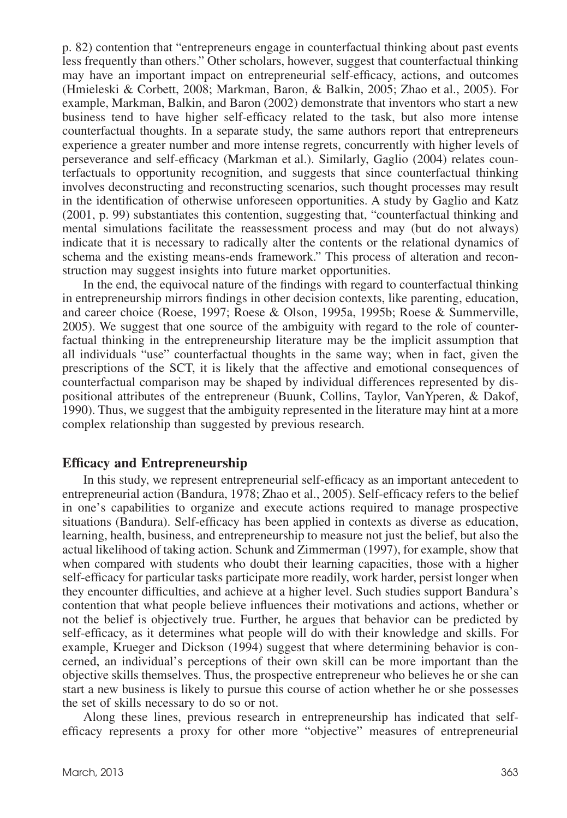p. 82) contention that "entrepreneurs engage in counterfactual thinking about past events less frequently than others." Other scholars, however, suggest that counterfactual thinking may have an important impact on entrepreneurial self-efficacy, actions, and outcomes (Hmieleski & Corbett, 2008; Markman, Baron, & Balkin, 2005; Zhao et al., 2005). For example, Markman, Balkin, and Baron (2002) demonstrate that inventors who start a new business tend to have higher self-efficacy related to the task, but also more intense counterfactual thoughts. In a separate study, the same authors report that entrepreneurs experience a greater number and more intense regrets, concurrently with higher levels of perseverance and self-efficacy (Markman et al.). Similarly, Gaglio (2004) relates counterfactuals to opportunity recognition, and suggests that since counterfactual thinking involves deconstructing and reconstructing scenarios, such thought processes may result in the identification of otherwise unforeseen opportunities. A study by Gaglio and Katz (2001, p. 99) substantiates this contention, suggesting that, "counterfactual thinking and mental simulations facilitate the reassessment process and may (but do not always) indicate that it is necessary to radically alter the contents or the relational dynamics of schema and the existing means-ends framework." This process of alteration and reconstruction may suggest insights into future market opportunities.

In the end, the equivocal nature of the findings with regard to counterfactual thinking in entrepreneurship mirrors findings in other decision contexts, like parenting, education, and career choice (Roese, 1997; Roese & Olson, 1995a, 1995b; Roese & Summerville, 2005). We suggest that one source of the ambiguity with regard to the role of counterfactual thinking in the entrepreneurship literature may be the implicit assumption that all individuals "use" counterfactual thoughts in the same way; when in fact, given the prescriptions of the SCT, it is likely that the affective and emotional consequences of counterfactual comparison may be shaped by individual differences represented by dispositional attributes of the entrepreneur (Buunk, Collins, Taylor, VanYperen, & Dakof, 1990). Thus, we suggest that the ambiguity represented in the literature may hint at a more complex relationship than suggested by previous research.

## **Efficacy and Entrepreneurship**

In this study, we represent entrepreneurial self-efficacy as an important antecedent to entrepreneurial action (Bandura, 1978; Zhao et al., 2005). Self-efficacy refers to the belief in one's capabilities to organize and execute actions required to manage prospective situations (Bandura). Self-efficacy has been applied in contexts as diverse as education, learning, health, business, and entrepreneurship to measure not just the belief, but also the actual likelihood of taking action. Schunk and Zimmerman (1997), for example, show that when compared with students who doubt their learning capacities, those with a higher self-efficacy for particular tasks participate more readily, work harder, persist longer when they encounter difficulties, and achieve at a higher level. Such studies support Bandura's contention that what people believe influences their motivations and actions, whether or not the belief is objectively true. Further, he argues that behavior can be predicted by self-efficacy, as it determines what people will do with their knowledge and skills. For example, Krueger and Dickson (1994) suggest that where determining behavior is concerned, an individual's perceptions of their own skill can be more important than the objective skills themselves. Thus, the prospective entrepreneur who believes he or she can start a new business is likely to pursue this course of action whether he or she possesses the set of skills necessary to do so or not.

Along these lines, previous research in entrepreneurship has indicated that selfefficacy represents a proxy for other more "objective" measures of entrepreneurial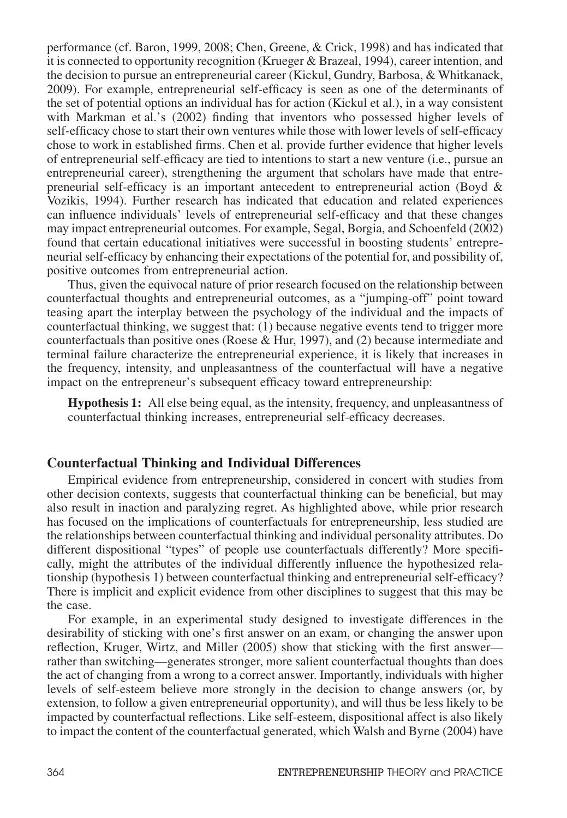performance (cf. Baron, 1999, 2008; Chen, Greene, & Crick, 1998) and has indicated that it is connected to opportunity recognition (Krueger & Brazeal, 1994), career intention, and the decision to pursue an entrepreneurial career (Kickul, Gundry, Barbosa, & Whitkanack, 2009). For example, entrepreneurial self-efficacy is seen as one of the determinants of the set of potential options an individual has for action (Kickul et al.), in a way consistent with Markman et al.'s (2002) finding that inventors who possessed higher levels of self-efficacy chose to start their own ventures while those with lower levels of self-efficacy chose to work in established firms. Chen et al. provide further evidence that higher levels of entrepreneurial self-efficacy are tied to intentions to start a new venture (i.e., pursue an entrepreneurial career), strengthening the argument that scholars have made that entrepreneurial self-efficacy is an important antecedent to entrepreneurial action (Boyd & Vozikis, 1994). Further research has indicated that education and related experiences can influence individuals' levels of entrepreneurial self-efficacy and that these changes may impact entrepreneurial outcomes. For example, Segal, Borgia, and Schoenfeld (2002) found that certain educational initiatives were successful in boosting students' entrepreneurial self-efficacy by enhancing their expectations of the potential for, and possibility of, positive outcomes from entrepreneurial action.

Thus, given the equivocal nature of prior research focused on the relationship between counterfactual thoughts and entrepreneurial outcomes, as a "jumping-off" point toward teasing apart the interplay between the psychology of the individual and the impacts of counterfactual thinking, we suggest that: (1) because negative events tend to trigger more counterfactuals than positive ones (Roese  $\&$  Hur, 1997), and (2) because intermediate and terminal failure characterize the entrepreneurial experience, it is likely that increases in the frequency, intensity, and unpleasantness of the counterfactual will have a negative impact on the entrepreneur's subsequent efficacy toward entrepreneurship:

**Hypothesis 1:** All else being equal, as the intensity, frequency, and unpleasantness of counterfactual thinking increases, entrepreneurial self-efficacy decreases.

## **Counterfactual Thinking and Individual Differences**

Empirical evidence from entrepreneurship, considered in concert with studies from other decision contexts, suggests that counterfactual thinking can be beneficial, but may also result in inaction and paralyzing regret. As highlighted above, while prior research has focused on the implications of counterfactuals for entrepreneurship, less studied are the relationships between counterfactual thinking and individual personality attributes. Do different dispositional "types" of people use counterfactuals differently? More specifically, might the attributes of the individual differently influence the hypothesized relationship (hypothesis 1) between counterfactual thinking and entrepreneurial self-efficacy? There is implicit and explicit evidence from other disciplines to suggest that this may be the case.

For example, in an experimental study designed to investigate differences in the desirability of sticking with one's first answer on an exam, or changing the answer upon reflection, Kruger, Wirtz, and Miller (2005) show that sticking with the first answer rather than switching—generates stronger, more salient counterfactual thoughts than does the act of changing from a wrong to a correct answer. Importantly, individuals with higher levels of self-esteem believe more strongly in the decision to change answers (or, by extension, to follow a given entrepreneurial opportunity), and will thus be less likely to be impacted by counterfactual reflections. Like self-esteem, dispositional affect is also likely to impact the content of the counterfactual generated, which Walsh and Byrne (2004) have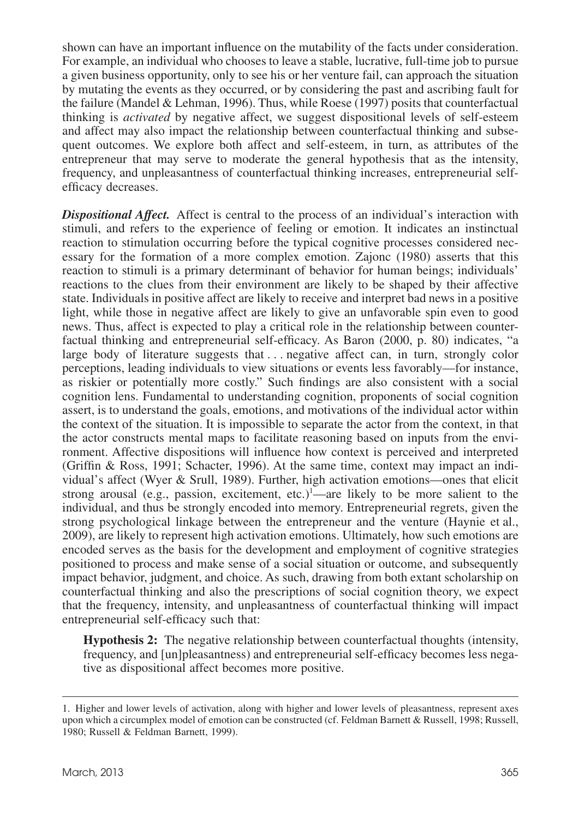shown can have an important influence on the mutability of the facts under consideration. For example, an individual who chooses to leave a stable, lucrative, full-time job to pursue a given business opportunity, only to see his or her venture fail, can approach the situation by mutating the events as they occurred, or by considering the past and ascribing fault for the failure (Mandel & Lehman, 1996). Thus, while Roese (1997) posits that counterfactual thinking is *activated* by negative affect, we suggest dispositional levels of self-esteem and affect may also impact the relationship between counterfactual thinking and subsequent outcomes. We explore both affect and self-esteem, in turn, as attributes of the entrepreneur that may serve to moderate the general hypothesis that as the intensity, frequency, and unpleasantness of counterfactual thinking increases, entrepreneurial selfefficacy decreases.

*Dispositional Affect.* Affect is central to the process of an individual's interaction with stimuli, and refers to the experience of feeling or emotion. It indicates an instinctual reaction to stimulation occurring before the typical cognitive processes considered necessary for the formation of a more complex emotion. Zajonc (1980) asserts that this reaction to stimuli is a primary determinant of behavior for human beings; individuals' reactions to the clues from their environment are likely to be shaped by their affective state. Individuals in positive affect are likely to receive and interpret bad news in a positive light, while those in negative affect are likely to give an unfavorable spin even to good news. Thus, affect is expected to play a critical role in the relationship between counterfactual thinking and entrepreneurial self-efficacy. As Baron (2000, p. 80) indicates, "a large body of literature suggests that . . . negative affect can, in turn, strongly color perceptions, leading individuals to view situations or events less favorably—for instance, as riskier or potentially more costly." Such findings are also consistent with a social cognition lens. Fundamental to understanding cognition, proponents of social cognition assert, is to understand the goals, emotions, and motivations of the individual actor within the context of the situation. It is impossible to separate the actor from the context, in that the actor constructs mental maps to facilitate reasoning based on inputs from the environment. Affective dispositions will influence how context is perceived and interpreted (Griffin & Ross, 1991; Schacter, 1996). At the same time, context may impact an individual's affect (Wyer & Srull, 1989). Further, high activation emotions—ones that elicit strong arousal (e.g., passion, excitement, etc.)<sup>1</sup>—are likely to be more salient to the individual, and thus be strongly encoded into memory. Entrepreneurial regrets, given the strong psychological linkage between the entrepreneur and the venture (Haynie et al., 2009), are likely to represent high activation emotions. Ultimately, how such emotions are encoded serves as the basis for the development and employment of cognitive strategies positioned to process and make sense of a social situation or outcome, and subsequently impact behavior, judgment, and choice. As such, drawing from both extant scholarship on counterfactual thinking and also the prescriptions of social cognition theory, we expect that the frequency, intensity, and unpleasantness of counterfactual thinking will impact entrepreneurial self-efficacy such that:

**Hypothesis 2:** The negative relationship between counterfactual thoughts (intensity, frequency, and [un]pleasantness) and entrepreneurial self-efficacy becomes less negative as dispositional affect becomes more positive.

<sup>1.</sup> Higher and lower levels of activation, along with higher and lower levels of pleasantness, represent axes upon which a circumplex model of emotion can be constructed (cf. Feldman Barnett & Russell, 1998; Russell, 1980; Russell & Feldman Barnett, 1999).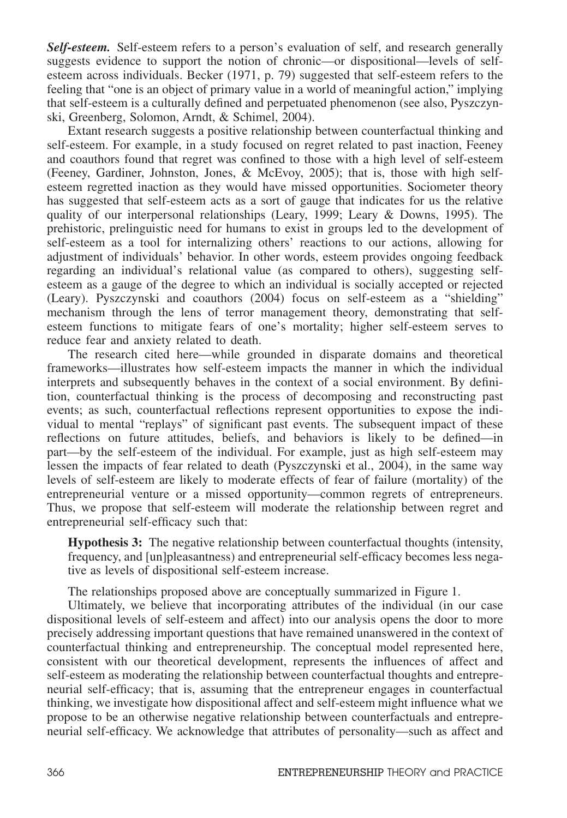*Self-esteem.* Self-esteem refers to a person's evaluation of self, and research generally suggests evidence to support the notion of chronic—or dispositional—levels of selfesteem across individuals. Becker (1971, p. 79) suggested that self-esteem refers to the feeling that "one is an object of primary value in a world of meaningful action," implying that self-esteem is a culturally defined and perpetuated phenomenon (see also, Pyszczynski, Greenberg, Solomon, Arndt, & Schimel, 2004).

Extant research suggests a positive relationship between counterfactual thinking and self-esteem. For example, in a study focused on regret related to past inaction, Feeney and coauthors found that regret was confined to those with a high level of self-esteem (Feeney, Gardiner, Johnston, Jones, & McEvoy, 2005); that is, those with high selfesteem regretted inaction as they would have missed opportunities. Sociometer theory has suggested that self-esteem acts as a sort of gauge that indicates for us the relative quality of our interpersonal relationships (Leary, 1999; Leary & Downs, 1995). The prehistoric, prelinguistic need for humans to exist in groups led to the development of self-esteem as a tool for internalizing others' reactions to our actions, allowing for adjustment of individuals' behavior. In other words, esteem provides ongoing feedback regarding an individual's relational value (as compared to others), suggesting selfesteem as a gauge of the degree to which an individual is socially accepted or rejected (Leary). Pyszczynski and coauthors (2004) focus on self-esteem as a "shielding" mechanism through the lens of terror management theory, demonstrating that selfesteem functions to mitigate fears of one's mortality; higher self-esteem serves to reduce fear and anxiety related to death.

The research cited here—while grounded in disparate domains and theoretical frameworks—illustrates how self-esteem impacts the manner in which the individual interprets and subsequently behaves in the context of a social environment. By definition, counterfactual thinking is the process of decomposing and reconstructing past events; as such, counterfactual reflections represent opportunities to expose the individual to mental "replays" of significant past events. The subsequent impact of these reflections on future attitudes, beliefs, and behaviors is likely to be defined—in part—by the self-esteem of the individual. For example, just as high self-esteem may lessen the impacts of fear related to death (Pyszczynski et al., 2004), in the same way levels of self-esteem are likely to moderate effects of fear of failure (mortality) of the entrepreneurial venture or a missed opportunity—common regrets of entrepreneurs. Thus, we propose that self-esteem will moderate the relationship between regret and entrepreneurial self-efficacy such that:

**Hypothesis 3:** The negative relationship between counterfactual thoughts (intensity, frequency, and [un]pleasantness) and entrepreneurial self-efficacy becomes less negative as levels of dispositional self-esteem increase.

The relationships proposed above are conceptually summarized in Figure 1.

Ultimately, we believe that incorporating attributes of the individual (in our case dispositional levels of self-esteem and affect) into our analysis opens the door to more precisely addressing important questions that have remained unanswered in the context of counterfactual thinking and entrepreneurship. The conceptual model represented here, consistent with our theoretical development, represents the influences of affect and self-esteem as moderating the relationship between counterfactual thoughts and entrepreneurial self-efficacy; that is, assuming that the entrepreneur engages in counterfactual thinking, we investigate how dispositional affect and self-esteem might influence what we propose to be an otherwise negative relationship between counterfactuals and entrepreneurial self-efficacy. We acknowledge that attributes of personality—such as affect and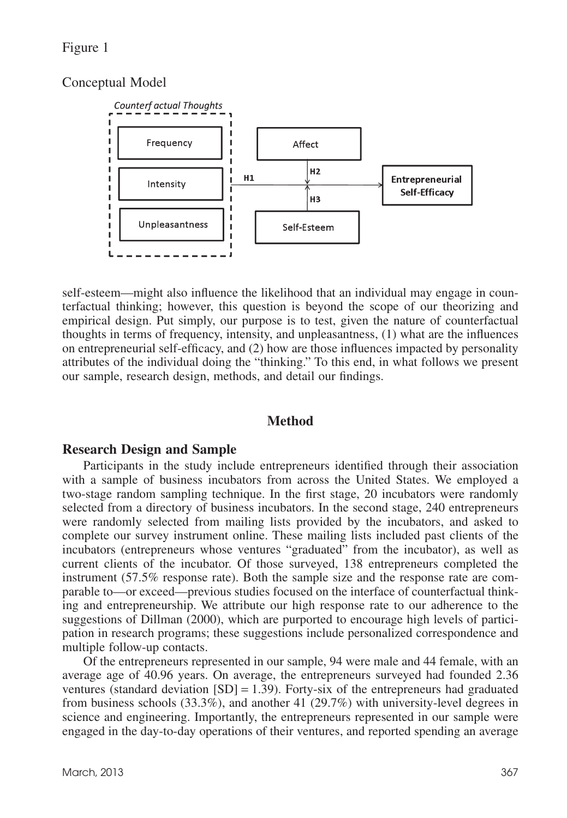## Figure 1

# Conceptual Model



self-esteem—might also influence the likelihood that an individual may engage in counterfactual thinking; however, this question is beyond the scope of our theorizing and empirical design. Put simply, our purpose is to test, given the nature of counterfactual thoughts in terms of frequency, intensity, and unpleasantness, (1) what are the influences on entrepreneurial self-efficacy, and (2) how are those influences impacted by personality attributes of the individual doing the "thinking." To this end, in what follows we present our sample, research design, methods, and detail our findings.

## **Method**

## **Research Design and Sample**

Participants in the study include entrepreneurs identified through their association with a sample of business incubators from across the United States. We employed a two-stage random sampling technique. In the first stage, 20 incubators were randomly selected from a directory of business incubators. In the second stage, 240 entrepreneurs were randomly selected from mailing lists provided by the incubators, and asked to complete our survey instrument online. These mailing lists included past clients of the incubators (entrepreneurs whose ventures "graduated" from the incubator), as well as current clients of the incubator. Of those surveyed, 138 entrepreneurs completed the instrument (57.5% response rate). Both the sample size and the response rate are comparable to—or exceed—previous studies focused on the interface of counterfactual thinking and entrepreneurship. We attribute our high response rate to our adherence to the suggestions of Dillman (2000), which are purported to encourage high levels of participation in research programs; these suggestions include personalized correspondence and multiple follow-up contacts.

Of the entrepreneurs represented in our sample, 94 were male and 44 female, with an average age of 40.96 years. On average, the entrepreneurs surveyed had founded 2.36 ventures (standard deviation  $[SD] = 1.39$ ). Forty-six of the entrepreneurs had graduated from business schools (33.3%), and another 41 (29.7%) with university-level degrees in science and engineering. Importantly, the entrepreneurs represented in our sample were engaged in the day-to-day operations of their ventures, and reported spending an average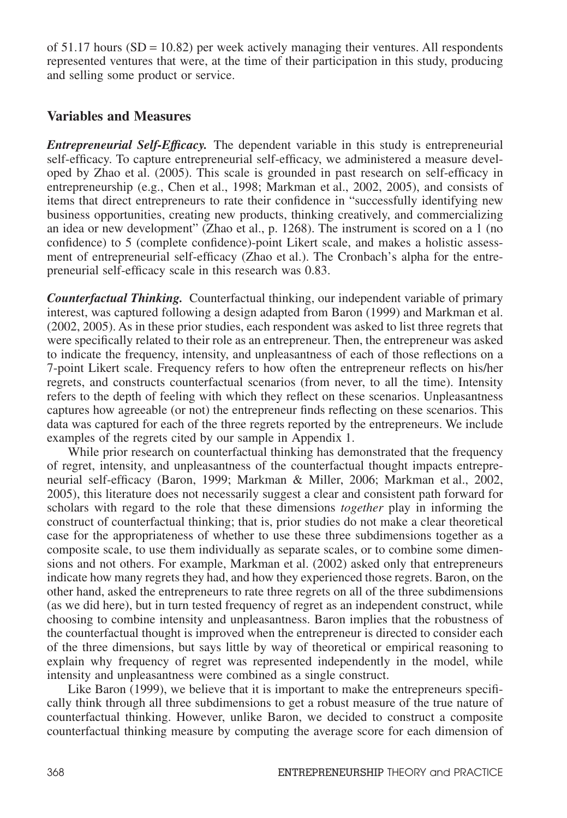of  $51.17$  hours (SD = 10.82) per week actively managing their ventures. All respondents represented ventures that were, at the time of their participation in this study, producing and selling some product or service.

## **Variables and Measures**

*Entrepreneurial Self-Efficacy.* The dependent variable in this study is entrepreneurial self-efficacy. To capture entrepreneurial self-efficacy, we administered a measure developed by Zhao et al. (2005). This scale is grounded in past research on self-efficacy in entrepreneurship (e.g., Chen et al., 1998; Markman et al., 2002, 2005), and consists of items that direct entrepreneurs to rate their confidence in "successfully identifying new business opportunities, creating new products, thinking creatively, and commercializing an idea or new development" (Zhao et al., p. 1268). The instrument is scored on a 1 (no confidence) to 5 (complete confidence)-point Likert scale, and makes a holistic assessment of entrepreneurial self-efficacy (Zhao et al.). The Cronbach's alpha for the entrepreneurial self-efficacy scale in this research was 0.83.

*Counterfactual Thinking.* Counterfactual thinking, our independent variable of primary interest, was captured following a design adapted from Baron (1999) and Markman et al. (2002, 2005). As in these prior studies, each respondent was asked to list three regrets that were specifically related to their role as an entrepreneur. Then, the entrepreneur was asked to indicate the frequency, intensity, and unpleasantness of each of those reflections on a 7-point Likert scale. Frequency refers to how often the entrepreneur reflects on his/her regrets, and constructs counterfactual scenarios (from never, to all the time). Intensity refers to the depth of feeling with which they reflect on these scenarios. Unpleasantness captures how agreeable (or not) the entrepreneur finds reflecting on these scenarios. This data was captured for each of the three regrets reported by the entrepreneurs. We include examples of the regrets cited by our sample in Appendix 1.

While prior research on counterfactual thinking has demonstrated that the frequency of regret, intensity, and unpleasantness of the counterfactual thought impacts entrepreneurial self-efficacy (Baron, 1999; Markman & Miller, 2006; Markman et al., 2002, 2005), this literature does not necessarily suggest a clear and consistent path forward for scholars with regard to the role that these dimensions *together* play in informing the construct of counterfactual thinking; that is, prior studies do not make a clear theoretical case for the appropriateness of whether to use these three subdimensions together as a composite scale, to use them individually as separate scales, or to combine some dimensions and not others. For example, Markman et al. (2002) asked only that entrepreneurs indicate how many regrets they had, and how they experienced those regrets. Baron, on the other hand, asked the entrepreneurs to rate three regrets on all of the three subdimensions (as we did here), but in turn tested frequency of regret as an independent construct, while choosing to combine intensity and unpleasantness. Baron implies that the robustness of the counterfactual thought is improved when the entrepreneur is directed to consider each of the three dimensions, but says little by way of theoretical or empirical reasoning to explain why frequency of regret was represented independently in the model, while intensity and unpleasantness were combined as a single construct.

Like Baron (1999), we believe that it is important to make the entrepreneurs specifically think through all three subdimensions to get a robust measure of the true nature of counterfactual thinking. However, unlike Baron, we decided to construct a composite counterfactual thinking measure by computing the average score for each dimension of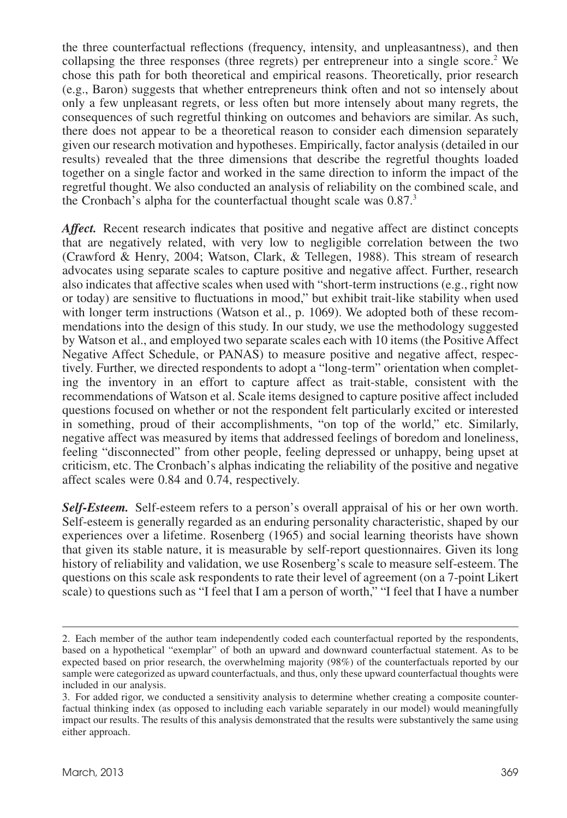the three counterfactual reflections (frequency, intensity, and unpleasantness), and then collapsing the three responses (three regrets) per entrepreneur into a single score.<sup>2</sup> We chose this path for both theoretical and empirical reasons. Theoretically, prior research (e.g., Baron) suggests that whether entrepreneurs think often and not so intensely about only a few unpleasant regrets, or less often but more intensely about many regrets, the consequences of such regretful thinking on outcomes and behaviors are similar. As such, there does not appear to be a theoretical reason to consider each dimension separately given our research motivation and hypotheses. Empirically, factor analysis (detailed in our results) revealed that the three dimensions that describe the regretful thoughts loaded together on a single factor and worked in the same direction to inform the impact of the regretful thought. We also conducted an analysis of reliability on the combined scale, and the Cronbach's alpha for the counterfactual thought scale was  $0.87<sup>3</sup>$ 

*Affect.* Recent research indicates that positive and negative affect are distinct concepts that are negatively related, with very low to negligible correlation between the two (Crawford & Henry, 2004; Watson, Clark, & Tellegen, 1988). This stream of research advocates using separate scales to capture positive and negative affect. Further, research also indicates that affective scales when used with "short-term instructions (e.g., right now or today) are sensitive to fluctuations in mood," but exhibit trait-like stability when used with longer term instructions (Watson et al., p. 1069). We adopted both of these recommendations into the design of this study. In our study, we use the methodology suggested by Watson et al., and employed two separate scales each with 10 items (the Positive Affect Negative Affect Schedule, or PANAS) to measure positive and negative affect, respectively. Further, we directed respondents to adopt a "long-term" orientation when completing the inventory in an effort to capture affect as trait-stable, consistent with the recommendations of Watson et al. Scale items designed to capture positive affect included questions focused on whether or not the respondent felt particularly excited or interested in something, proud of their accomplishments, "on top of the world," etc. Similarly, negative affect was measured by items that addressed feelings of boredom and loneliness, feeling "disconnected" from other people, feeling depressed or unhappy, being upset at criticism, etc. The Cronbach's alphas indicating the reliability of the positive and negative affect scales were 0.84 and 0.74, respectively.

*Self-Esteem.* Self-esteem refers to a person's overall appraisal of his or her own worth. Self-esteem is generally regarded as an enduring personality characteristic, shaped by our experiences over a lifetime. Rosenberg (1965) and social learning theorists have shown that given its stable nature, it is measurable by self-report questionnaires. Given its long history of reliability and validation, we use Rosenberg's scale to measure self-esteem. The questions on this scale ask respondents to rate their level of agreement (on a 7-point Likert scale) to questions such as "I feel that I am a person of worth," "I feel that I have a number

<sup>2.</sup> Each member of the author team independently coded each counterfactual reported by the respondents, based on a hypothetical "exemplar" of both an upward and downward counterfactual statement. As to be expected based on prior research, the overwhelming majority (98%) of the counterfactuals reported by our sample were categorized as upward counterfactuals, and thus, only these upward counterfactual thoughts were included in our analysis.

<sup>3.</sup> For added rigor, we conducted a sensitivity analysis to determine whether creating a composite counterfactual thinking index (as opposed to including each variable separately in our model) would meaningfully impact our results. The results of this analysis demonstrated that the results were substantively the same using either approach.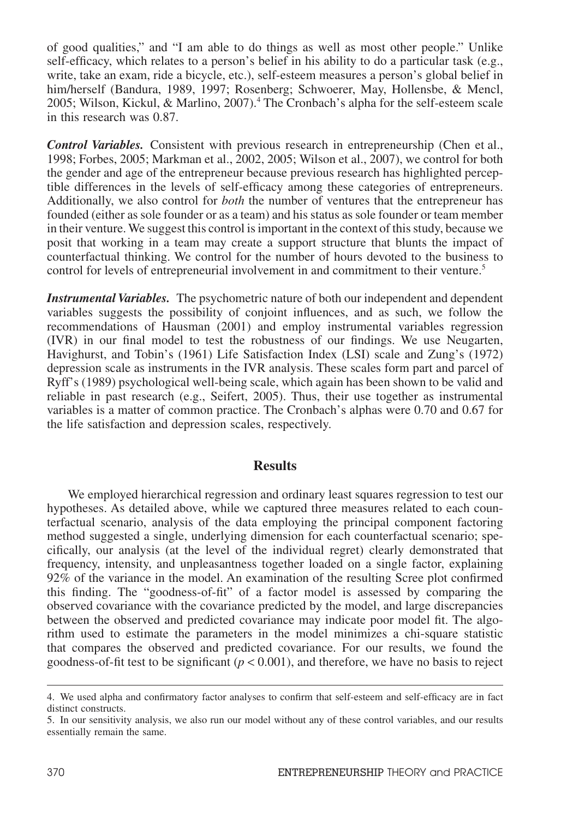of good qualities," and "I am able to do things as well as most other people." Unlike self-efficacy, which relates to a person's belief in his ability to do a particular task (e.g., write, take an exam, ride a bicycle, etc.), self-esteem measures a person's global belief in him/herself (Bandura, 1989, 1997; Rosenberg; Schwoerer, May, Hollensbe, & Mencl, 2005; Wilson, Kickul, & Marlino, 2007).4 The Cronbach's alpha for the self-esteem scale in this research was 0.87.

*Control Variables.* Consistent with previous research in entrepreneurship (Chen et al., 1998; Forbes, 2005; Markman et al., 2002, 2005; Wilson et al., 2007), we control for both the gender and age of the entrepreneur because previous research has highlighted perceptible differences in the levels of self-efficacy among these categories of entrepreneurs. Additionally, we also control for *both* the number of ventures that the entrepreneur has founded (either as sole founder or as a team) and his status as sole founder or team member in their venture. We suggest this control is important in the context of this study, because we posit that working in a team may create a support structure that blunts the impact of counterfactual thinking. We control for the number of hours devoted to the business to control for levels of entrepreneurial involvement in and commitment to their venture.<sup>5</sup>

*Instrumental Variables.* The psychometric nature of both our independent and dependent variables suggests the possibility of conjoint influences, and as such, we follow the recommendations of Hausman (2001) and employ instrumental variables regression (IVR) in our final model to test the robustness of our findings. We use Neugarten, Havighurst, and Tobin's (1961) Life Satisfaction Index (LSI) scale and Zung's (1972) depression scale as instruments in the IVR analysis. These scales form part and parcel of Ryff's (1989) psychological well-being scale, which again has been shown to be valid and reliable in past research (e.g., Seifert, 2005). Thus, their use together as instrumental variables is a matter of common practice. The Cronbach's alphas were 0.70 and 0.67 for the life satisfaction and depression scales, respectively.

## **Results**

We employed hierarchical regression and ordinary least squares regression to test our hypotheses. As detailed above, while we captured three measures related to each counterfactual scenario, analysis of the data employing the principal component factoring method suggested a single, underlying dimension for each counterfactual scenario; specifically, our analysis (at the level of the individual regret) clearly demonstrated that frequency, intensity, and unpleasantness together loaded on a single factor, explaining 92% of the variance in the model. An examination of the resulting Scree plot confirmed this finding. The "goodness-of-fit" of a factor model is assessed by comparing the observed covariance with the covariance predicted by the model, and large discrepancies between the observed and predicted covariance may indicate poor model fit. The algorithm used to estimate the parameters in the model minimizes a chi-square statistic that compares the observed and predicted covariance. For our results, we found the goodness-of-fit test to be significant  $(p < 0.001)$ , and therefore, we have no basis to reject

<sup>4.</sup> We used alpha and confirmatory factor analyses to confirm that self-esteem and self-efficacy are in fact distinct constructs.

<sup>5.</sup> In our sensitivity analysis, we also run our model without any of these control variables, and our results essentially remain the same.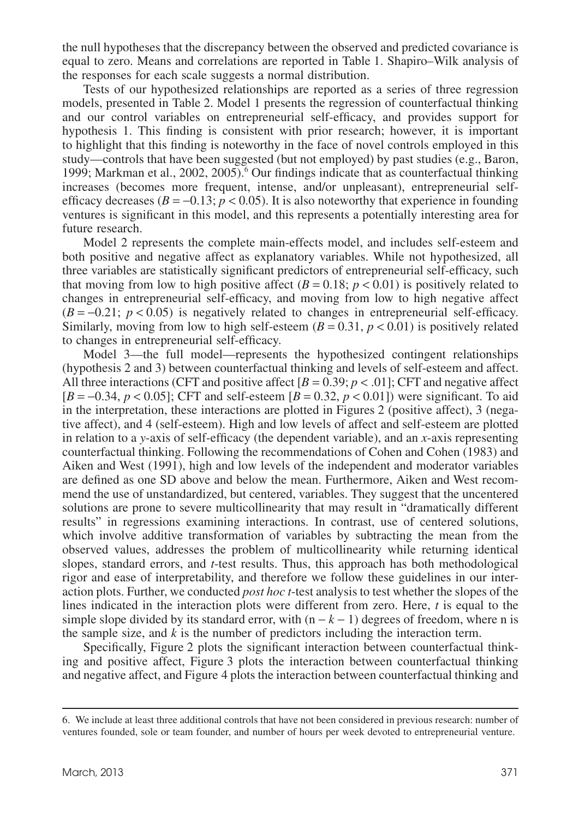the null hypotheses that the discrepancy between the observed and predicted covariance is equal to zero. Means and correlations are reported in Table 1. Shapiro–Wilk analysis of the responses for each scale suggests a normal distribution.

Tests of our hypothesized relationships are reported as a series of three regression models, presented in Table 2. Model 1 presents the regression of counterfactual thinking and our control variables on entrepreneurial self-efficacy, and provides support for hypothesis 1. This finding is consistent with prior research; however, it is important to highlight that this finding is noteworthy in the face of novel controls employed in this study—controls that have been suggested (but not employed) by past studies (e.g., Baron, 1999; Markman et al., 2002, 2005).<sup>6</sup> Our findings indicate that as counterfactual thinking increases (becomes more frequent, intense, and/or unpleasant), entrepreneurial selfefficacy decreases ( $B = -0.13$ ;  $p < 0.05$ ). It is also noteworthy that experience in founding ventures is significant in this model, and this represents a potentially interesting area for future research.

Model 2 represents the complete main-effects model, and includes self-esteem and both positive and negative affect as explanatory variables. While not hypothesized, all three variables are statistically significant predictors of entrepreneurial self-efficacy, such that moving from low to high positive affect  $(B = 0.18; p < 0.01)$  is positively related to changes in entrepreneurial self-efficacy, and moving from low to high negative affect  $(B = -0.21$ ;  $p < 0.05$ ) is negatively related to changes in entrepreneurial self-efficacy. Similarly, moving from low to high self-esteem  $(B = 0.31, p < 0.01)$  is positively related to changes in entrepreneurial self-efficacy.

Model 3—the full model—represents the hypothesized contingent relationships (hypothesis 2 and 3) between counterfactual thinking and levels of self-esteem and affect. All three interactions (CFT and positive affect  $[B = 0.39; p < .01]$ ; CFT and negative affect  $[B = -0.34, p < 0.05]$ ; CFT and self-esteem  $[B = 0.32, p < 0.01]$ ) were significant. To aid in the interpretation, these interactions are plotted in Figures 2 (positive affect), 3 (negative affect), and 4 (self-esteem). High and low levels of affect and self-esteem are plotted in relation to a *y*-axis of self-efficacy (the dependent variable), and an *x*-axis representing counterfactual thinking. Following the recommendations of Cohen and Cohen (1983) and Aiken and West (1991), high and low levels of the independent and moderator variables are defined as one SD above and below the mean. Furthermore, Aiken and West recommend the use of unstandardized, but centered, variables. They suggest that the uncentered solutions are prone to severe multicollinearity that may result in "dramatically different results" in regressions examining interactions. In contrast, use of centered solutions, which involve additive transformation of variables by subtracting the mean from the observed values, addresses the problem of multicollinearity while returning identical slopes, standard errors, and *t*-test results. Thus, this approach has both methodological rigor and ease of interpretability, and therefore we follow these guidelines in our interaction plots. Further, we conducted *post hoc t*-test analysis to test whether the slopes of the lines indicated in the interaction plots were different from zero. Here, *t* is equal to the simple slope divided by its standard error, with  $(n - k - 1)$  degrees of freedom, where n is the sample size, and *k* is the number of predictors including the interaction term.

Specifically, Figure 2 plots the significant interaction between counterfactual thinking and positive affect, Figure 3 plots the interaction between counterfactual thinking and negative affect, and Figure 4 plots the interaction between counterfactual thinking and

<sup>6.</sup> We include at least three additional controls that have not been considered in previous research: number of ventures founded, sole or team founder, and number of hours per week devoted to entrepreneurial venture.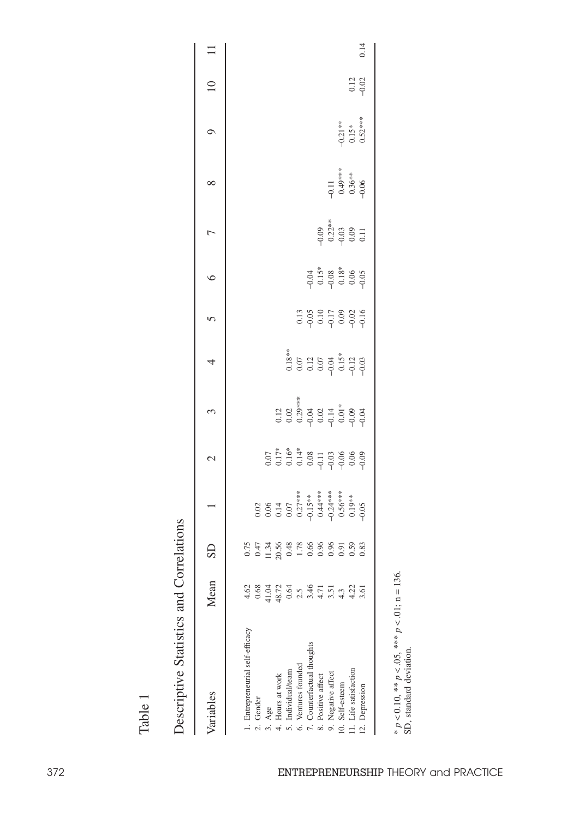| /ariables                        | Mean                                                      | SD                                                      |                                                                                                                                                                                                                                                                                                                                             | $\overline{\mathcal{C}}$ | $\tilde{\phantom{0}}$                                                                                                                                                                                                                                                                                 | $\overline{a}$                             | $\overline{C}$ | $\circ$ | $\overline{a}$                                 | $\infty$                             | $\circ$                         |                   |      |
|----------------------------------|-----------------------------------------------------------|---------------------------------------------------------|---------------------------------------------------------------------------------------------------------------------------------------------------------------------------------------------------------------------------------------------------------------------------------------------------------------------------------------------|--------------------------|-------------------------------------------------------------------------------------------------------------------------------------------------------------------------------------------------------------------------------------------------------------------------------------------------------|--------------------------------------------|----------------|---------|------------------------------------------------|--------------------------------------|---------------------------------|-------------------|------|
|                                  |                                                           |                                                         |                                                                                                                                                                                                                                                                                                                                             |                          |                                                                                                                                                                                                                                                                                                       |                                            |                |         |                                                |                                      |                                 |                   |      |
| 1. Entrepreneurial self-efficacy |                                                           |                                                         |                                                                                                                                                                                                                                                                                                                                             |                          |                                                                                                                                                                                                                                                                                                       |                                            |                |         |                                                |                                      |                                 |                   |      |
| 2. Gender                        |                                                           |                                                         |                                                                                                                                                                                                                                                                                                                                             |                          |                                                                                                                                                                                                                                                                                                       |                                            |                |         |                                                |                                      |                                 |                   |      |
| 3. Age                           |                                                           |                                                         |                                                                                                                                                                                                                                                                                                                                             |                          |                                                                                                                                                                                                                                                                                                       |                                            |                |         |                                                |                                      |                                 |                   |      |
| 4. Hours at work                 |                                                           |                                                         |                                                                                                                                                                                                                                                                                                                                             |                          |                                                                                                                                                                                                                                                                                                       |                                            |                |         |                                                |                                      |                                 |                   |      |
| 5. Individual/team               |                                                           |                                                         |                                                                                                                                                                                                                                                                                                                                             |                          |                                                                                                                                                                                                                                                                                                       |                                            |                |         |                                                |                                      |                                 |                   |      |
| 6. Ventures founded              |                                                           |                                                         |                                                                                                                                                                                                                                                                                                                                             |                          |                                                                                                                                                                                                                                                                                                       |                                            |                |         |                                                |                                      |                                 |                   |      |
| 7. Counterfactual thoughts       | 8<br>8 8 8 5 8 9 9 9 5 5 9 9 9<br>8 9 8 9 9 9 9 9 9 9 9 9 | $754888885533$<br>$0.474888865533$<br>$0.4748648665533$ | $\begin{array}{c} 0.02 \\ 0.06 \\ 0.14 \\ 0.07 \\ 0.27 \\ 0.37 \\ -0.56 \\ -0.56 \\ -0.56 \\ -0.56 \\ -0.05 \\ -0.05 \\ -0.05 \\ -0.05 \\ -0.05 \\ -0.05 \\ -0.05 \\ -0.05 \\ -0.05 \\ -0.05 \\ -0.05 \\ -0.05 \\ -0.05 \\ -0.05 \\ -0.05 \\ -0.05 \\ -0.05 \\ -0.05 \\ -0.05 \\ -0.05 \\ -0.05 \\ -0.05 \\ -0.05 \\ -0.05 \\ -0.05 \\ -0.$ |                          | $\begin{array}{c} \Xi \cong \begin{array}{c} \Xi \cong \Xi \cong \Xi \ \Xi \cong \Xi \end{array} \\ \Xi \cong \begin{array}{c} \Xi \cong \Xi \ \Xi \cong \Xi \end{array} \\ \Xi \cong \begin{array}{c} \Xi \cong \Xi \end{array} \\ \Xi \cong \begin{array}{c} \Xi \cong \Xi \end{array} \end{array}$ | **<br>0.07<br>0.07<br>0.07<br>0.09<br>0.09 |                |         |                                                |                                      |                                 |                   |      |
| 8. Positive affect               |                                                           |                                                         |                                                                                                                                                                                                                                                                                                                                             |                          |                                                                                                                                                                                                                                                                                                       |                                            |                |         |                                                |                                      |                                 |                   |      |
| 9. Negative affect               |                                                           |                                                         |                                                                                                                                                                                                                                                                                                                                             |                          |                                                                                                                                                                                                                                                                                                       |                                            |                |         |                                                |                                      |                                 |                   |      |
| 10. Self-esteem                  |                                                           |                                                         |                                                                                                                                                                                                                                                                                                                                             |                          |                                                                                                                                                                                                                                                                                                       |                                            |                |         |                                                |                                      |                                 |                   |      |
| 11. Life satisfaction            |                                                           |                                                         |                                                                                                                                                                                                                                                                                                                                             |                          |                                                                                                                                                                                                                                                                                                       |                                            |                |         | $0.09$<br>$0.23$<br>$0.03$<br>$0.05$<br>$0.11$ | $-0.11$<br>0.49***<br>0.36**<br>0.06 | $-0.21***$<br>0.15*<br>0.52**** | $0.12$<br>$-0.02$ |      |
| 2. Depression                    | 3.61                                                      |                                                         |                                                                                                                                                                                                                                                                                                                                             |                          |                                                                                                                                                                                                                                                                                                       |                                            |                |         |                                                |                                      |                                 |                   | 0.14 |
|                                  |                                                           |                                                         |                                                                                                                                                                                                                                                                                                                                             |                          |                                                                                                                                                                                                                                                                                                       |                                            |                |         |                                                |                                      |                                 |                   |      |

Descriptive Statistics and Correlations

Descriptive Statistics and Correlations

Table 1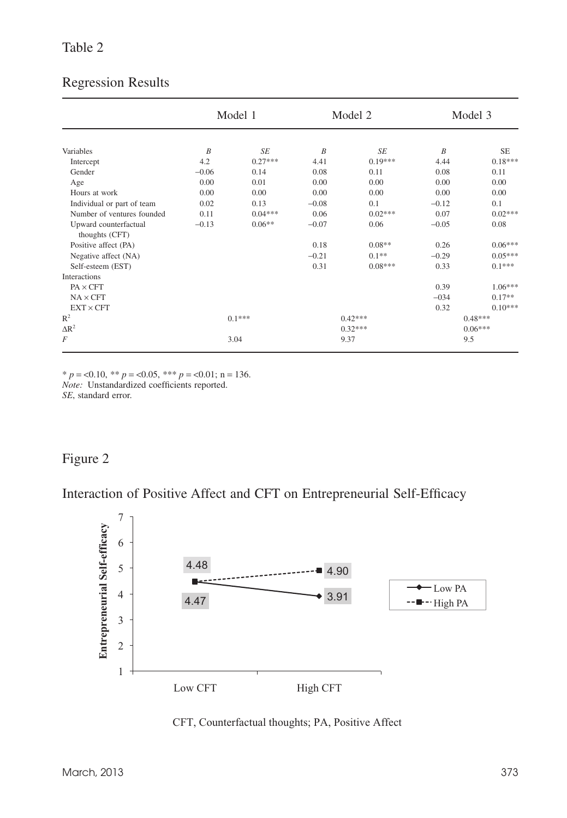# Regression Results

|                                         | Model 1          |           | Model 2          |           | Model 3          |           |
|-----------------------------------------|------------------|-----------|------------------|-----------|------------------|-----------|
| Variables                               | $\boldsymbol{B}$ | SE        | $\boldsymbol{B}$ | SE        | $\boldsymbol{B}$ | <b>SE</b> |
| Intercept                               | 4.2              | $0.27***$ | 4.41             | $0.19***$ | 4.44             | $0.18***$ |
| Gender                                  | $-0.06$          | 0.14      | 0.08             | 0.11      | 0.08             | 0.11      |
| Age                                     | 0.00             | 0.01      | 0.00             | 0.00      | 0.00             | 0.00      |
| Hours at work                           | 0.00             | 0.00      | 0.00             | 0.00      | 0.00             | 0.00      |
| Individual or part of team              | 0.02             | 0.13      | $-0.08$          | 0.1       | $-0.12$          | 0.1       |
| Number of ventures founded              | 0.11             | $0.04***$ | 0.06             | $0.02***$ | 0.07             | $0.02***$ |
| Upward counterfactual<br>thoughts (CFT) | $-0.13$          | $0.06**$  | $-0.07$          | 0.06      | $-0.05$          | 0.08      |
| Positive affect (PA)                    |                  |           | 0.18             | $0.08**$  | 0.26             | $0.06***$ |
| Negative affect (NA)                    |                  |           | $-0.21$          | $0.1**$   | $-0.29$          | $0.05***$ |
| Self-esteem (EST)                       |                  |           | 0.31             | $0.08***$ | 0.33             | $0.1***$  |
| Interactions                            |                  |           |                  |           |                  |           |
| $PA \times CFT$                         |                  |           |                  |           | 0.39             | $1.06***$ |
| $NA \times CFT$                         |                  |           |                  |           | $-034$           | $0.17**$  |
| $EXT \times CFT$                        |                  |           |                  |           | 0.32             | $0.10***$ |
| $R^2$                                   |                  | $0.1***$  |                  | $0.42***$ |                  | $0.48***$ |
| $\Delta$ R <sup>2</sup>                 |                  |           |                  | $0.32***$ |                  | $0.06***$ |
| F                                       |                  | 3.04      |                  | 9.37      | 9.5              |           |

 $*$  *p* = <0.10, \*\* *p* = <0.05, \*\*\* *p* = <0.01; n = 136. *Note:* Unstandardized coefficients reported. *SE*, standard error.

# Figure 2

Interaction of Positive Affect and CFT on Entrepreneurial Self-Efficacy



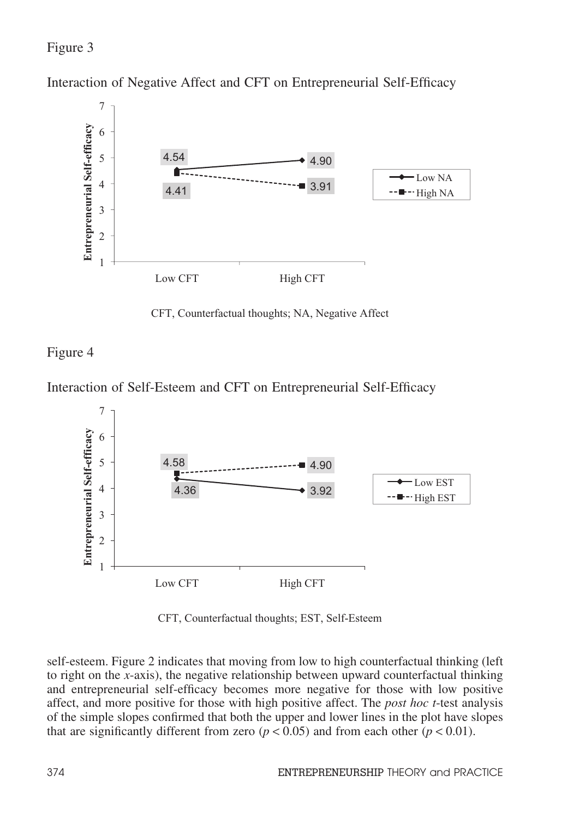# Figure 3



Interaction of Negative Affect and CFT on Entrepreneurial Self-Efficacy

CFT, Counterfactual thoughts; NA, Negative Affect

# Figure 4

Interaction of Self-Esteem and CFT on Entrepreneurial Self-Efficacy



CFT, Counterfactual thoughts; EST, Self-Esteem

self-esteem. Figure 2 indicates that moving from low to high counterfactual thinking (left to right on the *x*-axis), the negative relationship between upward counterfactual thinking and entrepreneurial self-efficacy becomes more negative for those with low positive affect, and more positive for those with high positive affect. The *post hoc t*-test analysis of the simple slopes confirmed that both the upper and lower lines in the plot have slopes that are significantly different from zero  $(p < 0.05)$  and from each other  $(p < 0.01)$ .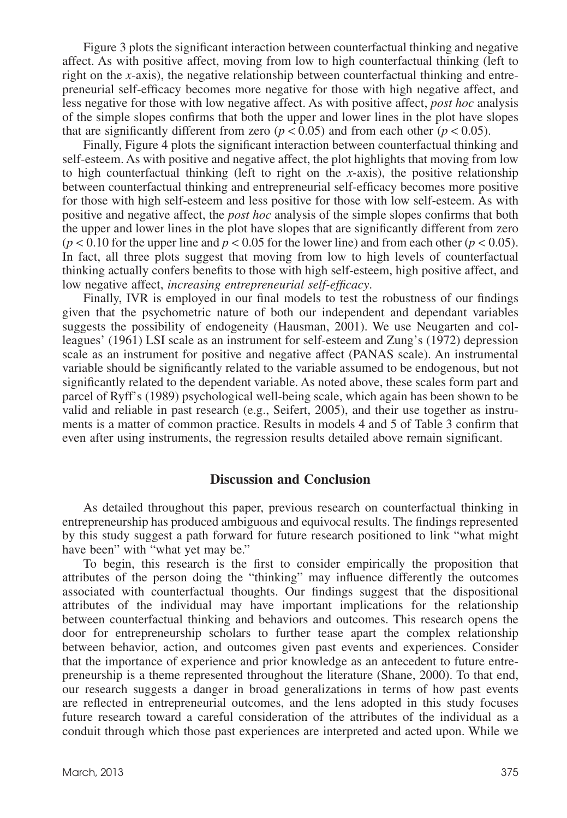Figure 3 plots the significant interaction between counterfactual thinking and negative affect. As with positive affect, moving from low to high counterfactual thinking (left to right on the *x*-axis), the negative relationship between counterfactual thinking and entrepreneurial self-efficacy becomes more negative for those with high negative affect, and less negative for those with low negative affect. As with positive affect, *post hoc* analysis of the simple slopes confirms that both the upper and lower lines in the plot have slopes that are significantly different from zero  $(p < 0.05)$  and from each other  $(p < 0.05)$ .

Finally, Figure 4 plots the significant interaction between counterfactual thinking and self-esteem. As with positive and negative affect, the plot highlights that moving from low to high counterfactual thinking (left to right on the *x*-axis), the positive relationship between counterfactual thinking and entrepreneurial self-efficacy becomes more positive for those with high self-esteem and less positive for those with low self-esteem. As with positive and negative affect, the *post hoc* analysis of the simple slopes confirms that both the upper and lower lines in the plot have slopes that are significantly different from zero  $(p < 0.10$  for the upper line and  $p < 0.05$  for the lower line) and from each other  $(p < 0.05)$ . In fact, all three plots suggest that moving from low to high levels of counterfactual thinking actually confers benefits to those with high self-esteem, high positive affect, and low negative affect, *increasing entrepreneurial self-efficacy*.

Finally, IVR is employed in our final models to test the robustness of our findings given that the psychometric nature of both our independent and dependant variables suggests the possibility of endogeneity (Hausman, 2001). We use Neugarten and colleagues' (1961) LSI scale as an instrument for self-esteem and Zung's (1972) depression scale as an instrument for positive and negative affect (PANAS scale). An instrumental variable should be significantly related to the variable assumed to be endogenous, but not significantly related to the dependent variable. As noted above, these scales form part and parcel of Ryff's (1989) psychological well-being scale, which again has been shown to be valid and reliable in past research (e.g., Seifert, 2005), and their use together as instruments is a matter of common practice. Results in models 4 and 5 of Table 3 confirm that even after using instruments, the regression results detailed above remain significant.

#### **Discussion and Conclusion**

As detailed throughout this paper, previous research on counterfactual thinking in entrepreneurship has produced ambiguous and equivocal results. The findings represented by this study suggest a path forward for future research positioned to link "what might have been" with "what yet may be."

To begin, this research is the first to consider empirically the proposition that attributes of the person doing the "thinking" may influence differently the outcomes associated with counterfactual thoughts. Our findings suggest that the dispositional attributes of the individual may have important implications for the relationship between counterfactual thinking and behaviors and outcomes. This research opens the door for entrepreneurship scholars to further tease apart the complex relationship between behavior, action, and outcomes given past events and experiences. Consider that the importance of experience and prior knowledge as an antecedent to future entrepreneurship is a theme represented throughout the literature (Shane, 2000). To that end, our research suggests a danger in broad generalizations in terms of how past events are reflected in entrepreneurial outcomes, and the lens adopted in this study focuses future research toward a careful consideration of the attributes of the individual as a conduit through which those past experiences are interpreted and acted upon. While we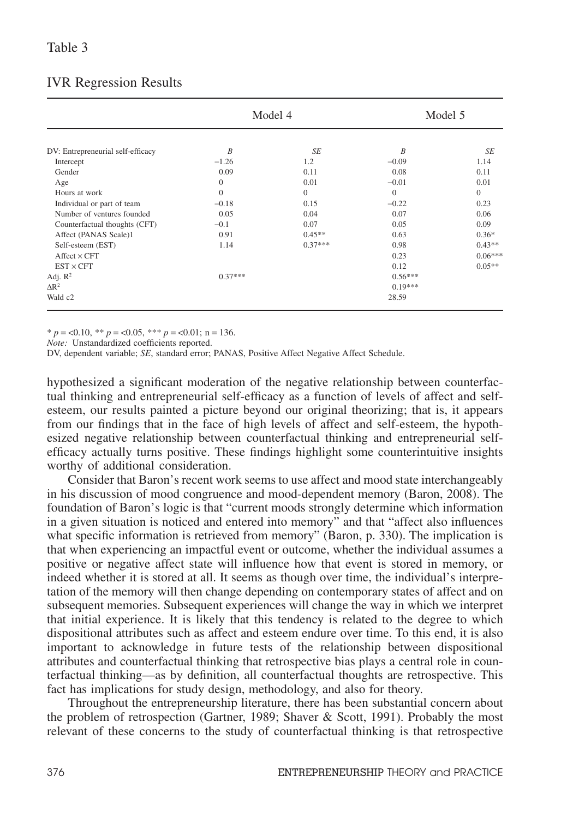|                                   |                  | Model 4        | Model 5   |              |  |
|-----------------------------------|------------------|----------------|-----------|--------------|--|
| DV: Entrepreneurial self-efficacy | B                | SE             | B         | SE           |  |
| Intercept                         | $-1.26$          | 1.2            | $-0.09$   | 1.14         |  |
| Gender                            | 0.09             | 0.11           | 0.08      | 0.11         |  |
| Age                               | $\boldsymbol{0}$ | 0.01           | $-0.01$   | 0.01         |  |
| Hours at work                     | $\overline{0}$   | $\overline{0}$ | $\Omega$  | $\mathbf{0}$ |  |
| Individual or part of team        | $-0.18$          | 0.15           | $-0.22$   | 0.23         |  |
| Number of ventures founded        | 0.05             | 0.04           | 0.07      | 0.06         |  |
| Counterfactual thoughts (CFT)     | $-0.1$           | 0.07           | 0.05      | 0.09         |  |
| Affect (PANAS Scale)1             | 0.91             | $0.45**$       | 0.63      | $0.36*$      |  |
| Self-esteem (EST)                 | 1.14             | $0.37***$      | 0.98      | $0.43**$     |  |
| $Affect \times CFT$               |                  |                | 0.23      | $0.06***$    |  |
| $EST \times CFT$                  |                  |                | 0.12      | $0.05**$     |  |
| Adj. $R^2$                        | $0.37***$        |                | $0.56***$ |              |  |
| $\Delta$ R <sup>2</sup>           |                  |                | $0.19***$ |              |  |
| Wald c <sub>2</sub>               |                  |                | 28.59     |              |  |

## IVR Regression Results

 $* p = 0.10, ** p = 0.05, *** p = 0.01; n = 136.$ 

*Note:* Unstandardized coefficients reported.

DV, dependent variable; *SE*, standard error; PANAS, Positive Affect Negative Affect Schedule.

hypothesized a significant moderation of the negative relationship between counterfactual thinking and entrepreneurial self-efficacy as a function of levels of affect and selfesteem, our results painted a picture beyond our original theorizing; that is, it appears from our findings that in the face of high levels of affect and self-esteem, the hypothesized negative relationship between counterfactual thinking and entrepreneurial selfefficacy actually turns positive. These findings highlight some counterintuitive insights worthy of additional consideration.

Consider that Baron's recent work seems to use affect and mood state interchangeably in his discussion of mood congruence and mood-dependent memory (Baron, 2008). The foundation of Baron's logic is that "current moods strongly determine which information in a given situation is noticed and entered into memory" and that "affect also influences what specific information is retrieved from memory" (Baron, p. 330). The implication is that when experiencing an impactful event or outcome, whether the individual assumes a positive or negative affect state will influence how that event is stored in memory, or indeed whether it is stored at all. It seems as though over time, the individual's interpretation of the memory will then change depending on contemporary states of affect and on subsequent memories. Subsequent experiences will change the way in which we interpret that initial experience. It is likely that this tendency is related to the degree to which dispositional attributes such as affect and esteem endure over time. To this end, it is also important to acknowledge in future tests of the relationship between dispositional attributes and counterfactual thinking that retrospective bias plays a central role in counterfactual thinking—as by definition, all counterfactual thoughts are retrospective. This fact has implications for study design, methodology, and also for theory.

Throughout the entrepreneurship literature, there has been substantial concern about the problem of retrospection (Gartner, 1989; Shaver & Scott, 1991). Probably the most relevant of these concerns to the study of counterfactual thinking is that retrospective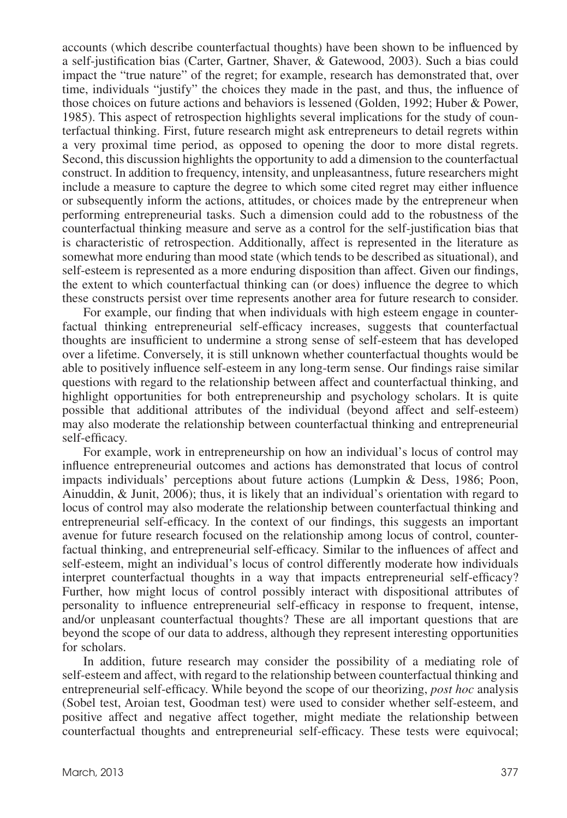accounts (which describe counterfactual thoughts) have been shown to be influenced by a self-justification bias (Carter, Gartner, Shaver, & Gatewood, 2003). Such a bias could impact the "true nature" of the regret; for example, research has demonstrated that, over time, individuals "justify" the choices they made in the past, and thus, the influence of those choices on future actions and behaviors is lessened (Golden, 1992; Huber & Power, 1985). This aspect of retrospection highlights several implications for the study of counterfactual thinking. First, future research might ask entrepreneurs to detail regrets within a very proximal time period, as opposed to opening the door to more distal regrets. Second, this discussion highlights the opportunity to add a dimension to the counterfactual construct. In addition to frequency, intensity, and unpleasantness, future researchers might include a measure to capture the degree to which some cited regret may either influence or subsequently inform the actions, attitudes, or choices made by the entrepreneur when performing entrepreneurial tasks. Such a dimension could add to the robustness of the counterfactual thinking measure and serve as a control for the self-justification bias that is characteristic of retrospection. Additionally, affect is represented in the literature as somewhat more enduring than mood state (which tends to be described as situational), and self-esteem is represented as a more enduring disposition than affect. Given our findings, the extent to which counterfactual thinking can (or does) influence the degree to which these constructs persist over time represents another area for future research to consider.

For example, our finding that when individuals with high esteem engage in counterfactual thinking entrepreneurial self-efficacy increases, suggests that counterfactual thoughts are insufficient to undermine a strong sense of self-esteem that has developed over a lifetime. Conversely, it is still unknown whether counterfactual thoughts would be able to positively influence self-esteem in any long-term sense. Our findings raise similar questions with regard to the relationship between affect and counterfactual thinking, and highlight opportunities for both entrepreneurship and psychology scholars. It is quite possible that additional attributes of the individual (beyond affect and self-esteem) may also moderate the relationship between counterfactual thinking and entrepreneurial self-efficacy.

For example, work in entrepreneurship on how an individual's locus of control may influence entrepreneurial outcomes and actions has demonstrated that locus of control impacts individuals' perceptions about future actions (Lumpkin & Dess, 1986; Poon, Ainuddin, & Junit, 2006); thus, it is likely that an individual's orientation with regard to locus of control may also moderate the relationship between counterfactual thinking and entrepreneurial self-efficacy. In the context of our findings, this suggests an important avenue for future research focused on the relationship among locus of control, counterfactual thinking, and entrepreneurial self-efficacy. Similar to the influences of affect and self-esteem, might an individual's locus of control differently moderate how individuals interpret counterfactual thoughts in a way that impacts entrepreneurial self-efficacy? Further, how might locus of control possibly interact with dispositional attributes of personality to influence entrepreneurial self-efficacy in response to frequent, intense, and/or unpleasant counterfactual thoughts? These are all important questions that are beyond the scope of our data to address, although they represent interesting opportunities for scholars.

In addition, future research may consider the possibility of a mediating role of self-esteem and affect, with regard to the relationship between counterfactual thinking and entrepreneurial self-efficacy. While beyond the scope of our theorizing, *post hoc* analysis (Sobel test, Aroian test, Goodman test) were used to consider whether self-esteem, and positive affect and negative affect together, might mediate the relationship between counterfactual thoughts and entrepreneurial self-efficacy. These tests were equivocal;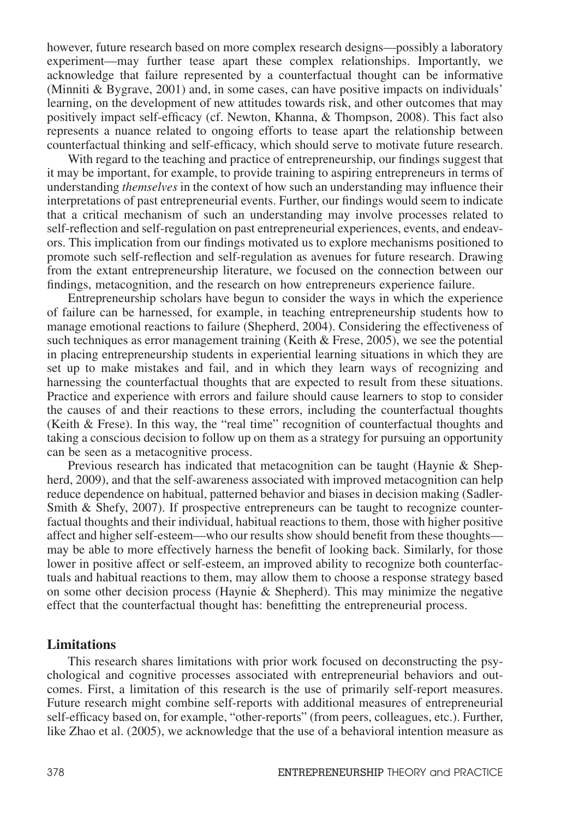however, future research based on more complex research designs—possibly a laboratory experiment—may further tease apart these complex relationships. Importantly, we acknowledge that failure represented by a counterfactual thought can be informative (Minniti & Bygrave, 2001) and, in some cases, can have positive impacts on individuals' learning, on the development of new attitudes towards risk, and other outcomes that may positively impact self-efficacy (cf. Newton, Khanna, & Thompson, 2008). This fact also represents a nuance related to ongoing efforts to tease apart the relationship between counterfactual thinking and self-efficacy, which should serve to motivate future research.

With regard to the teaching and practice of entrepreneurship, our findings suggest that it may be important, for example, to provide training to aspiring entrepreneurs in terms of understanding *themselves* in the context of how such an understanding may influence their interpretations of past entrepreneurial events. Further, our findings would seem to indicate that a critical mechanism of such an understanding may involve processes related to self-reflection and self-regulation on past entrepreneurial experiences, events, and endeavors. This implication from our findings motivated us to explore mechanisms positioned to promote such self-reflection and self-regulation as avenues for future research. Drawing from the extant entrepreneurship literature, we focused on the connection between our findings, metacognition, and the research on how entrepreneurs experience failure.

Entrepreneurship scholars have begun to consider the ways in which the experience of failure can be harnessed, for example, in teaching entrepreneurship students how to manage emotional reactions to failure (Shepherd, 2004). Considering the effectiveness of such techniques as error management training (Keith & Frese, 2005), we see the potential in placing entrepreneurship students in experiential learning situations in which they are set up to make mistakes and fail, and in which they learn ways of recognizing and harnessing the counterfactual thoughts that are expected to result from these situations. Practice and experience with errors and failure should cause learners to stop to consider the causes of and their reactions to these errors, including the counterfactual thoughts (Keith & Frese). In this way, the "real time" recognition of counterfactual thoughts and taking a conscious decision to follow up on them as a strategy for pursuing an opportunity can be seen as a metacognitive process.

Previous research has indicated that metacognition can be taught (Haynie & Shepherd, 2009), and that the self-awareness associated with improved metacognition can help reduce dependence on habitual, patterned behavior and biases in decision making (Sadler-Smith & Shefy, 2007). If prospective entrepreneurs can be taught to recognize counterfactual thoughts and their individual, habitual reactions to them, those with higher positive affect and higher self-esteem—who our results show should benefit from these thoughts may be able to more effectively harness the benefit of looking back. Similarly, for those lower in positive affect or self-esteem, an improved ability to recognize both counterfactuals and habitual reactions to them, may allow them to choose a response strategy based on some other decision process (Haynie  $\&$  Shepherd). This may minimize the negative effect that the counterfactual thought has: benefitting the entrepreneurial process.

#### **Limitations**

This research shares limitations with prior work focused on deconstructing the psychological and cognitive processes associated with entrepreneurial behaviors and outcomes. First, a limitation of this research is the use of primarily self-report measures. Future research might combine self-reports with additional measures of entrepreneurial self-efficacy based on, for example, "other-reports" (from peers, colleagues, etc.). Further, like Zhao et al. (2005), we acknowledge that the use of a behavioral intention measure as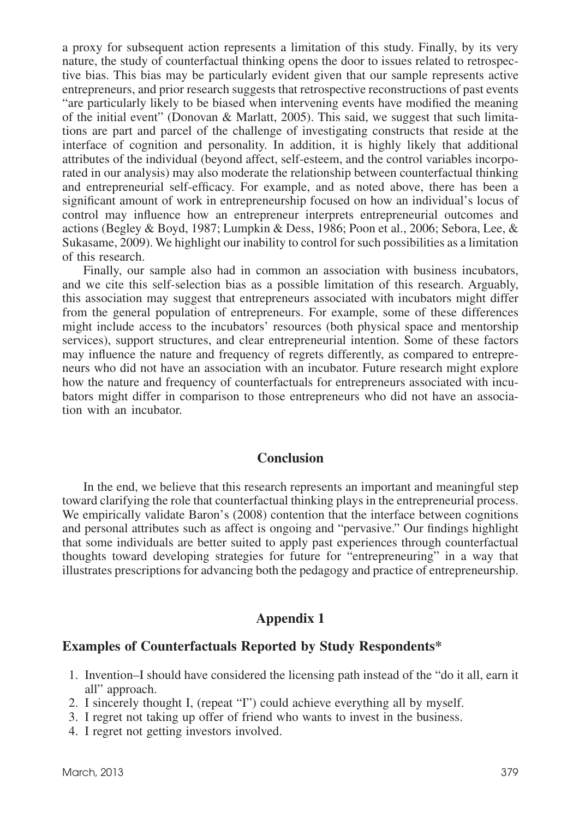a proxy for subsequent action represents a limitation of this study. Finally, by its very nature, the study of counterfactual thinking opens the door to issues related to retrospective bias. This bias may be particularly evident given that our sample represents active entrepreneurs, and prior research suggests that retrospective reconstructions of past events "are particularly likely to be biased when intervening events have modified the meaning of the initial event" (Donovan & Marlatt, 2005). This said, we suggest that such limitations are part and parcel of the challenge of investigating constructs that reside at the interface of cognition and personality. In addition, it is highly likely that additional attributes of the individual (beyond affect, self-esteem, and the control variables incorporated in our analysis) may also moderate the relationship between counterfactual thinking and entrepreneurial self-efficacy. For example, and as noted above, there has been a significant amount of work in entrepreneurship focused on how an individual's locus of control may influence how an entrepreneur interprets entrepreneurial outcomes and actions (Begley & Boyd, 1987; Lumpkin & Dess, 1986; Poon et al., 2006; Sebora, Lee, & Sukasame, 2009). We highlight our inability to control for such possibilities as a limitation of this research.

Finally, our sample also had in common an association with business incubators, and we cite this self-selection bias as a possible limitation of this research. Arguably, this association may suggest that entrepreneurs associated with incubators might differ from the general population of entrepreneurs. For example, some of these differences might include access to the incubators' resources (both physical space and mentorship services), support structures, and clear entrepreneurial intention. Some of these factors may influence the nature and frequency of regrets differently, as compared to entrepreneurs who did not have an association with an incubator. Future research might explore how the nature and frequency of counterfactuals for entrepreneurs associated with incubators might differ in comparison to those entrepreneurs who did not have an association with an incubator.

#### **Conclusion**

In the end, we believe that this research represents an important and meaningful step toward clarifying the role that counterfactual thinking plays in the entrepreneurial process. We empirically validate Baron's (2008) contention that the interface between cognitions and personal attributes such as affect is ongoing and "pervasive." Our findings highlight that some individuals are better suited to apply past experiences through counterfactual thoughts toward developing strategies for future for "entrepreneuring" in a way that illustrates prescriptions for advancing both the pedagogy and practice of entrepreneurship.

#### **Appendix 1**

## **Examples of Counterfactuals Reported by Study Respondents\***

- 1. Invention–I should have considered the licensing path instead of the "do it all, earn it all" approach.
- 2. I sincerely thought I, (repeat "I") could achieve everything all by myself.
- 3. I regret not taking up offer of friend who wants to invest in the business.
- 4. I regret not getting investors involved.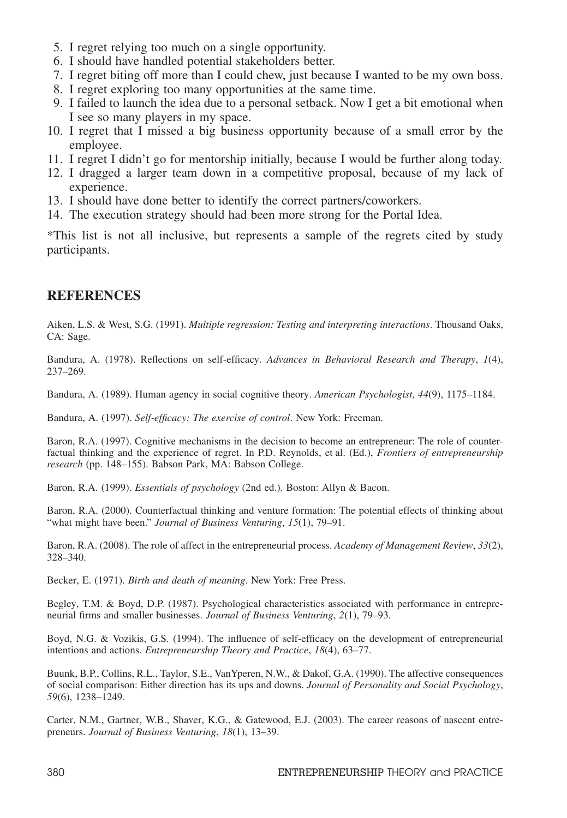- 5. I regret relying too much on a single opportunity.
- 6. I should have handled potential stakeholders better.
- 7. I regret biting off more than I could chew, just because I wanted to be my own boss.
- 8. I regret exploring too many opportunities at the same time.
- 9. I failed to launch the idea due to a personal setback. Now I get a bit emotional when I see so many players in my space.
- 10. I regret that I missed a big business opportunity because of a small error by the employee.
- 11. I regret I didn't go for mentorship initially, because I would be further along today.
- 12. I dragged a larger team down in a competitive proposal, because of my lack of experience.
- 13. I should have done better to identify the correct partners/coworkers.
- 14. The execution strategy should had been more strong for the Portal Idea.

\*This list is not all inclusive, but represents a sample of the regrets cited by study participants.

# **REFERENCES**

Aiken, L.S. & West, S.G. (1991). *Multiple regression: Testing and interpreting interactions*. Thousand Oaks, CA: Sage.

Bandura, A. (1978). Reflections on self-efficacy. *Advances in Behavioral Research and Therapy*, *1*(4), 237–269.

Bandura, A. (1989). Human agency in social cognitive theory. *American Psychologist*, *44*(9), 1175–1184.

Bandura, A. (1997). *Self-efficacy: The exercise of control*. New York: Freeman.

Baron, R.A. (1997). Cognitive mechanisms in the decision to become an entrepreneur: The role of counterfactual thinking and the experience of regret. In P.D. Reynolds, et al. (Ed.), *Frontiers of entrepreneurship research* (pp. 148–155). Babson Park, MA: Babson College.

Baron, R.A. (1999). *Essentials of psychology* (2nd ed.). Boston: Allyn & Bacon.

Baron, R.A. (2000). Counterfactual thinking and venture formation: The potential effects of thinking about "what might have been." *Journal of Business Venturing*, *15*(1), 79–91.

Baron, R.A. (2008). The role of affect in the entrepreneurial process. *Academy of Management Review*, *33*(2), 328–340.

Becker, E. (1971). *Birth and death of meaning*. New York: Free Press.

Begley, T.M. & Boyd, D.P. (1987). Psychological characteristics associated with performance in entrepreneurial firms and smaller businesses. *Journal of Business Venturing*, *2*(1), 79–93.

Boyd, N.G. & Vozikis, G.S. (1994). The influence of self-efficacy on the development of entrepreneurial intentions and actions. *Entrepreneurship Theory and Practice*, *18*(4), 63–77.

Buunk, B.P., Collins, R.L., Taylor, S.E., VanYperen, N.W., & Dakof, G.A. (1990). The affective consequences of social comparison: Either direction has its ups and downs. *Journal of Personality and Social Psychology*, *59*(6), 1238–1249.

Carter, N.M., Gartner, W.B., Shaver, K.G., & Gatewood, E.J. (2003). The career reasons of nascent entrepreneurs. *Journal of Business Venturing*, *18*(1), 13–39.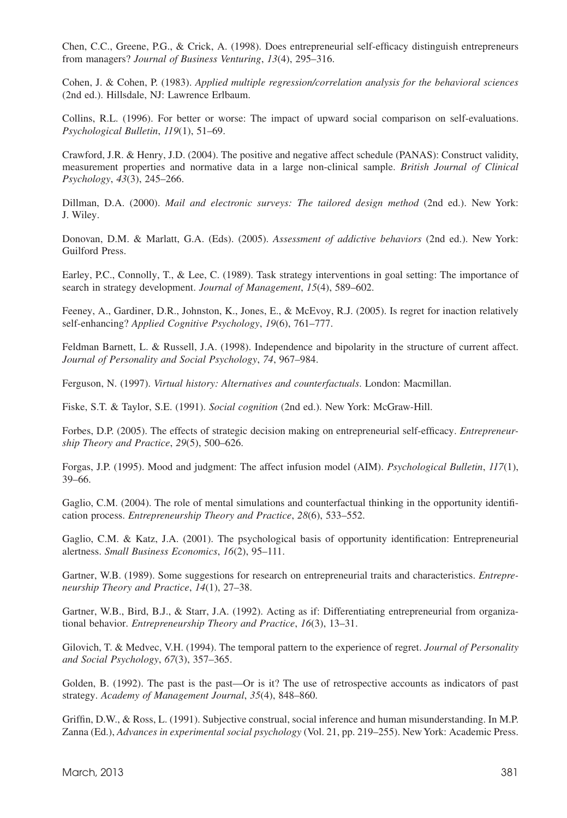Chen, C.C., Greene, P.G., & Crick, A. (1998). Does entrepreneurial self-efficacy distinguish entrepreneurs from managers? *Journal of Business Venturing*, *13*(4), 295–316.

Cohen, J. & Cohen, P. (1983). *Applied multiple regression/correlation analysis for the behavioral sciences* (2nd ed.). Hillsdale, NJ: Lawrence Erlbaum.

Collins, R.L. (1996). For better or worse: The impact of upward social comparison on self-evaluations. *Psychological Bulletin*, *119*(1), 51–69.

Crawford, J.R. & Henry, J.D. (2004). The positive and negative affect schedule (PANAS): Construct validity, measurement properties and normative data in a large non-clinical sample. *British Journal of Clinical Psychology*, *43*(3), 245–266.

Dillman, D.A. (2000). *Mail and electronic surveys: The tailored design method* (2nd ed.). New York: J. Wiley.

Donovan, D.M. & Marlatt, G.A. (Eds). (2005). *Assessment of addictive behaviors* (2nd ed.). New York: Guilford Press.

Earley, P.C., Connolly, T., & Lee, C. (1989). Task strategy interventions in goal setting: The importance of search in strategy development. *Journal of Management*, *15*(4), 589–602.

Feeney, A., Gardiner, D.R., Johnston, K., Jones, E., & McEvoy, R.J. (2005). Is regret for inaction relatively self-enhancing? *Applied Cognitive Psychology*, *19*(6), 761–777.

Feldman Barnett, L. & Russell, J.A. (1998). Independence and bipolarity in the structure of current affect. *Journal of Personality and Social Psychology*, *74*, 967–984.

Ferguson, N. (1997). *Virtual history: Alternatives and counterfactuals*. London: Macmillan.

Fiske, S.T. & Taylor, S.E. (1991). *Social cognition* (2nd ed.). New York: McGraw-Hill.

Forbes, D.P. (2005). The effects of strategic decision making on entrepreneurial self-efficacy. *Entrepreneurship Theory and Practice*, *29*(5), 500–626.

Forgas, J.P. (1995). Mood and judgment: The affect infusion model (AIM). *Psychological Bulletin*, *117*(1), 39–66.

Gaglio, C.M. (2004). The role of mental simulations and counterfactual thinking in the opportunity identification process. *Entrepreneurship Theory and Practice*, *28*(6), 533–552.

Gaglio, C.M. & Katz, J.A. (2001). The psychological basis of opportunity identification: Entrepreneurial alertness. *Small Business Economics*, *16*(2), 95–111.

Gartner, W.B. (1989). Some suggestions for research on entrepreneurial traits and characteristics. *Entrepreneurship Theory and Practice*, *14*(1), 27–38.

Gartner, W.B., Bird, B.J., & Starr, J.A. (1992). Acting as if: Differentiating entrepreneurial from organizational behavior. *Entrepreneurship Theory and Practice*, *16*(3), 13–31.

Gilovich, T. & Medvec, V.H. (1994). The temporal pattern to the experience of regret. *Journal of Personality and Social Psychology*, *67*(3), 357–365.

Golden, B. (1992). The past is the past—Or is it? The use of retrospective accounts as indicators of past strategy. *Academy of Management Journal*, *35*(4), 848–860.

Griffin, D.W., & Ross, L. (1991). Subjective construal, social inference and human misunderstanding. In M.P. Zanna (Ed.), *Advances in experimental social psychology* (Vol. 21, pp. 219–255). New York: Academic Press.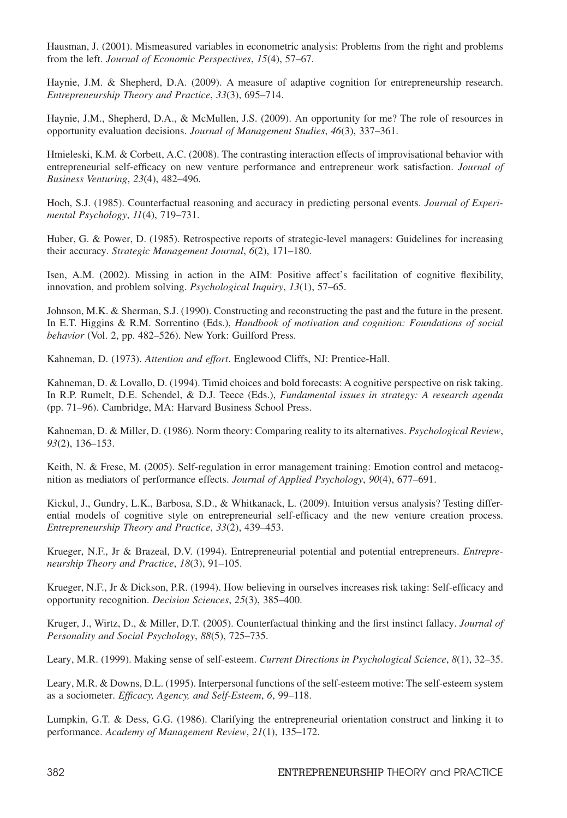Hausman, J. (2001). Mismeasured variables in econometric analysis: Problems from the right and problems from the left. *Journal of Economic Perspectives*, *15*(4), 57–67.

Haynie, J.M. & Shepherd, D.A. (2009). A measure of adaptive cognition for entrepreneurship research. *Entrepreneurship Theory and Practice*, *33*(3), 695–714.

Haynie, J.M., Shepherd, D.A., & McMullen, J.S. (2009). An opportunity for me? The role of resources in opportunity evaluation decisions. *Journal of Management Studies*, *46*(3), 337–361.

Hmieleski, K.M. & Corbett, A.C. (2008). The contrasting interaction effects of improvisational behavior with entrepreneurial self-efficacy on new venture performance and entrepreneur work satisfaction. *Journal of Business Venturing*, *23*(4), 482–496.

Hoch, S.J. (1985). Counterfactual reasoning and accuracy in predicting personal events. *Journal of Experimental Psychology*, *11*(4), 719–731.

Huber, G. & Power, D. (1985). Retrospective reports of strategic-level managers: Guidelines for increasing their accuracy. *Strategic Management Journal*, *6*(2), 171–180.

Isen, A.M. (2002). Missing in action in the AIM: Positive affect's facilitation of cognitive flexibility, innovation, and problem solving. *Psychological Inquiry*, *13*(1), 57–65.

Johnson, M.K. & Sherman, S.J. (1990). Constructing and reconstructing the past and the future in the present. In E.T. Higgins & R.M. Sorrentino (Eds.), *Handbook of motivation and cognition: Foundations of social behavior* (Vol. 2, pp. 482–526). New York: Guilford Press.

Kahneman, D. (1973). *Attention and effort*. Englewood Cliffs, NJ: Prentice-Hall.

Kahneman, D. & Lovallo, D. (1994). Timid choices and bold forecasts: A cognitive perspective on risk taking. In R.P. Rumelt, D.E. Schendel, & D.J. Teece (Eds.), *Fundamental issues in strategy: A research agenda* (pp. 71–96). Cambridge, MA: Harvard Business School Press.

Kahneman, D. & Miller, D. (1986). Norm theory: Comparing reality to its alternatives. *Psychological Review*, *93*(2), 136–153.

Keith, N. & Frese, M. (2005). Self-regulation in error management training: Emotion control and metacognition as mediators of performance effects. *Journal of Applied Psychology*, *90*(4), 677–691.

Kickul, J., Gundry, L.K., Barbosa, S.D., & Whitkanack, L. (2009). Intuition versus analysis? Testing differential models of cognitive style on entrepreneurial self-efficacy and the new venture creation process. *Entrepreneurship Theory and Practice*, *33*(2), 439–453.

Krueger, N.F., Jr & Brazeal, D.V. (1994). Entrepreneurial potential and potential entrepreneurs. *Entrepreneurship Theory and Practice*, *18*(3), 91–105.

Krueger, N.F., Jr & Dickson, P.R. (1994). How believing in ourselves increases risk taking: Self-efficacy and opportunity recognition. *Decision Sciences*, *25*(3), 385–400.

Kruger, J., Wirtz, D., & Miller, D.T. (2005). Counterfactual thinking and the first instinct fallacy. *Journal of Personality and Social Psychology*, *88*(5), 725–735.

Leary, M.R. (1999). Making sense of self-esteem. *Current Directions in Psychological Science*, *8*(1), 32–35.

Leary, M.R. & Downs, D.L. (1995). Interpersonal functions of the self-esteem motive: The self-esteem system as a sociometer. *Efficacy, Agency, and Self-Esteem*, *6*, 99–118.

Lumpkin, G.T. & Dess, G.G. (1986). Clarifying the entrepreneurial orientation construct and linking it to performance. *Academy of Management Review*, *21*(1), 135–172.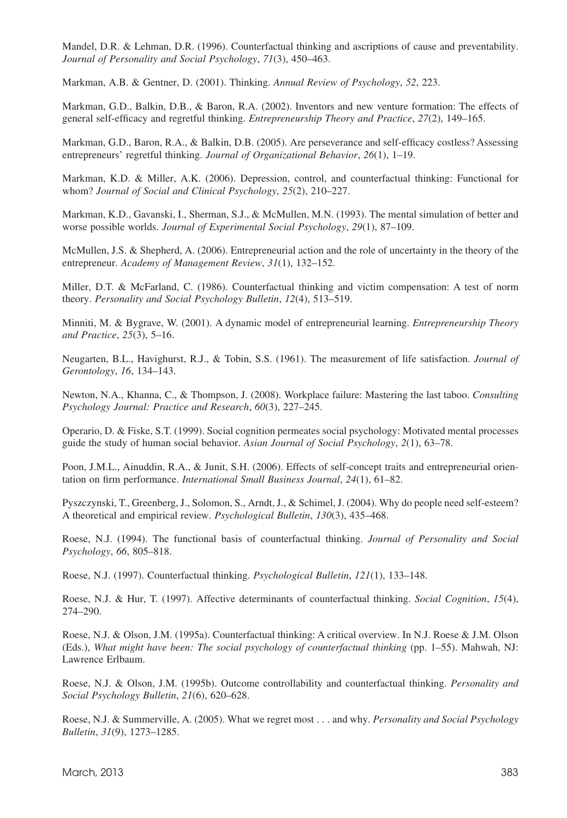Mandel, D.R. & Lehman, D.R. (1996). Counterfactual thinking and ascriptions of cause and preventability. *Journal of Personality and Social Psychology*, *71*(3), 450–463.

Markman, A.B. & Gentner, D. (2001). Thinking. *Annual Review of Psychology*, *52*, 223.

Markman, G.D., Balkin, D.B., & Baron, R.A. (2002). Inventors and new venture formation: The effects of general self-efficacy and regretful thinking. *Entrepreneurship Theory and Practice*, *27*(2), 149–165.

Markman, G.D., Baron, R.A., & Balkin, D.B. (2005). Are perseverance and self-efficacy costless? Assessing entrepreneurs' regretful thinking. *Journal of Organizational Behavior*, *26*(1), 1–19.

Markman, K.D. & Miller, A.K. (2006). Depression, control, and counterfactual thinking: Functional for whom? *Journal of Social and Clinical Psychology*, *25*(2), 210–227.

Markman, K.D., Gavanski, I., Sherman, S.J., & McMullen, M.N. (1993). The mental simulation of better and worse possible worlds. *Journal of Experimental Social Psychology*, *29*(1), 87–109.

McMullen, J.S. & Shepherd, A. (2006). Entrepreneurial action and the role of uncertainty in the theory of the entrepreneur. *Academy of Management Review*, *31*(1), 132–152.

Miller, D.T. & McFarland, C. (1986). Counterfactual thinking and victim compensation: A test of norm theory. *Personality and Social Psychology Bulletin*, *12*(4), 513–519.

Minniti, M. & Bygrave, W. (2001). A dynamic model of entrepreneurial learning. *Entrepreneurship Theory and Practice*, *25*(3), 5–16.

Neugarten, B.L., Havighurst, R.J., & Tobin, S.S. (1961). The measurement of life satisfaction. *Journal of Gerontology*, *16*, 134–143.

Newton, N.A., Khanna, C., & Thompson, J. (2008). Workplace failure: Mastering the last taboo. *Consulting Psychology Journal: Practice and Research*, *60*(3), 227–245.

Operario, D. & Fiske, S.T. (1999). Social cognition permeates social psychology: Motivated mental processes guide the study of human social behavior. *Asian Journal of Social Psychology*, *2*(1), 63–78.

Poon, J.M.L., Ainuddin, R.A., & Junit, S.H. (2006). Effects of self-concept traits and entrepreneurial orientation on firm performance. *International Small Business Journal*, *24*(1), 61–82.

Pyszczynski, T., Greenberg, J., Solomon, S., Arndt, J., & Schimel, J. (2004). Why do people need self-esteem? A theoretical and empirical review. *Psychological Bulletin*, *130*(3), 435–468.

Roese, N.J. (1994). The functional basis of counterfactual thinking. *Journal of Personality and Social Psychology*, *66*, 805–818.

Roese, N.J. (1997). Counterfactual thinking. *Psychological Bulletin*, *121*(1), 133–148.

Roese, N.J. & Hur, T. (1997). Affective determinants of counterfactual thinking. *Social Cognition*, *15*(4), 274–290.

Roese, N.J. & Olson, J.M. (1995a). Counterfactual thinking: A critical overview. In N.J. Roese & J.M. Olson (Eds.), *What might have been: The social psychology of counterfactual thinking* (pp. 1–55). Mahwah, NJ: Lawrence Erlbaum.

Roese, N.J. & Olson, J.M. (1995b). Outcome controllability and counterfactual thinking. *Personality and Social Psychology Bulletin*, *21*(6), 620–628.

Roese, N.J. & Summerville, A. (2005). What we regret most . . . and why. *Personality and Social Psychology Bulletin*, *31*(9), 1273–1285.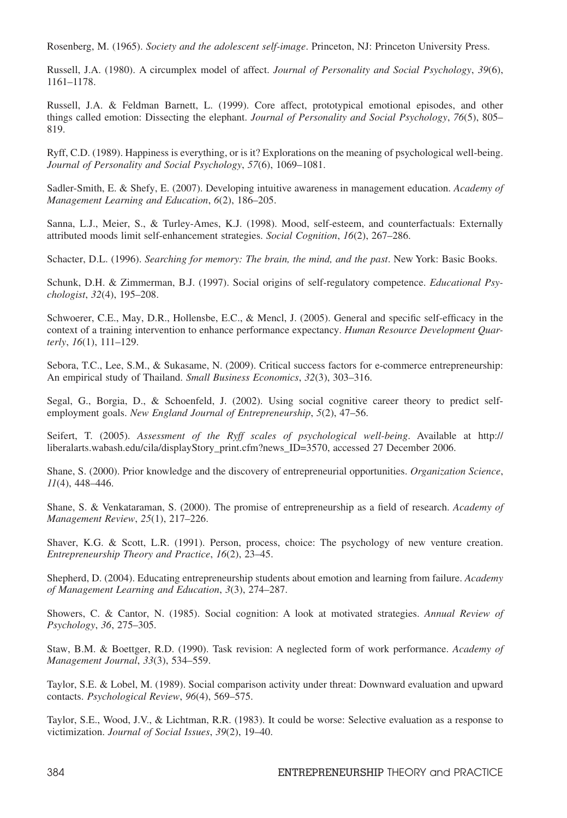Rosenberg, M. (1965). *Society and the adolescent self-image*. Princeton, NJ: Princeton University Press.

Russell, J.A. (1980). A circumplex model of affect. *Journal of Personality and Social Psychology*, *39*(6), 1161–1178.

Russell, J.A. & Feldman Barnett, L. (1999). Core affect, prototypical emotional episodes, and other things called emotion: Dissecting the elephant. *Journal of Personality and Social Psychology*, *76*(5), 805– 819.

Ryff, C.D. (1989). Happiness is everything, or is it? Explorations on the meaning of psychological well-being. *Journal of Personality and Social Psychology*, *57*(6), 1069–1081.

Sadler-Smith, E. & Shefy, E. (2007). Developing intuitive awareness in management education. *Academy of Management Learning and Education*, *6*(2), 186–205.

Sanna, L.J., Meier, S., & Turley-Ames, K.J. (1998). Mood, self-esteem, and counterfactuals: Externally attributed moods limit self-enhancement strategies. *Social Cognition*, *16*(2), 267–286.

Schacter, D.L. (1996). *Searching for memory: The brain, the mind, and the past*. New York: Basic Books.

Schunk, D.H. & Zimmerman, B.J. (1997). Social origins of self-regulatory competence. *Educational Psychologist*, *32*(4), 195–208.

Schwoerer, C.E., May, D.R., Hollensbe, E.C., & Mencl, J. (2005). General and specific self-efficacy in the context of a training intervention to enhance performance expectancy. *Human Resource Development Quarterly*, *16*(1), 111–129.

Sebora, T.C., Lee, S.M., & Sukasame, N. (2009). Critical success factors for e-commerce entrepreneurship: An empirical study of Thailand. *Small Business Economics*, *32*(3), 303–316.

Segal, G., Borgia, D., & Schoenfeld, J. (2002). Using social cognitive career theory to predict selfemployment goals. *New England Journal of Entrepreneurship*, *5*(2), 47–56.

Seifert, T. (2005). *Assessment of the Ryff scales of psychological well-being*. Available at http:// liberalarts.wabash.edu/cila/displayStory\_print.cfm?news\_ID=3570, accessed 27 December 2006.

Shane, S. (2000). Prior knowledge and the discovery of entrepreneurial opportunities. *Organization Science*, *11*(4), 448–446.

Shane, S. & Venkataraman, S. (2000). The promise of entrepreneurship as a field of research. *Academy of Management Review*, *25*(1), 217–226.

Shaver, K.G. & Scott, L.R. (1991). Person, process, choice: The psychology of new venture creation. *Entrepreneurship Theory and Practice*, *16*(2), 23–45.

Shepherd, D. (2004). Educating entrepreneurship students about emotion and learning from failure. *Academy of Management Learning and Education*, *3*(3), 274–287.

Showers, C. & Cantor, N. (1985). Social cognition: A look at motivated strategies. *Annual Review of Psychology*, *36*, 275–305.

Staw, B.M. & Boettger, R.D. (1990). Task revision: A neglected form of work performance. *Academy of Management Journal*, *33*(3), 534–559.

Taylor, S.E. & Lobel, M. (1989). Social comparison activity under threat: Downward evaluation and upward contacts. *Psychological Review*, *96*(4), 569–575.

Taylor, S.E., Wood, J.V., & Lichtman, R.R. (1983). It could be worse: Selective evaluation as a response to victimization. *Journal of Social Issues*, *39*(2), 19–40.